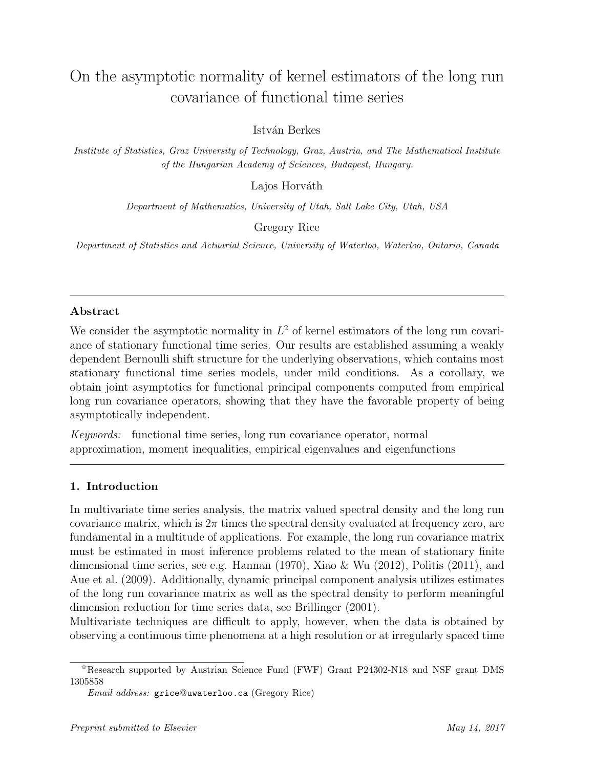# On the asymptotic normality of kernel estimators of the long run covariance of functional time series

István Berkes

*Institute of Statistics, Graz University of Technology, Graz, Austria, and The Mathematical Institute of the Hungarian Academy of Sciences, Budapest, Hungary.*

Lajos Horváth

*Department of Mathematics, University of Utah, Salt Lake City, Utah, USA*

Gregory Rice

*Department of Statistics and Actuarial Science, University of Waterloo, Waterloo, Ontario, Canada*

# **Abstract**

We consider the asymptotic normality in  $L^2$  of kernel estimators of the long run covariance of stationary functional time series. Our results are established assuming a weakly dependent Bernoulli shift structure for the underlying observations, which contains most stationary functional time series models, under mild conditions. As a corollary, we obtain joint asymptotics for functional principal components computed from empirical long run covariance operators, showing that they have the favorable property of being asymptotically independent.

*Keywords:* functional time series, long run covariance operator, normal approximation, moment inequalities, empirical eigenvalues and eigenfunctions

# **1. Introduction**

In multivariate time series analysis, the matrix valued spectral density and the long run covariance matrix, which is  $2\pi$  times the spectral density evaluated at frequency zero, are fundamental in a multitude of applications. For example, the long run covariance matrix must be estimated in most inference problems related to the mean of stationary finite dimensional time series, see e.g. Hannan (1970), Xiao & Wu (2012), Politis (2011), and Aue et al. (2009). Additionally, dynamic principal component analysis utilizes estimates of the long run covariance matrix as well as the spectral density to perform meaningful dimension reduction for time series data, see Brillinger (2001).

Multivariate techniques are difficult to apply, however, when the data is obtained by observing a continuous time phenomena at a high resolution or at irregularly spaced time

 $*$ Research supported by Austrian Science Fund (FWF) Grant P24302-N18 and NSF grant DMS 1305858

*Email address:* grice@uwaterloo.ca (Gregory Rice)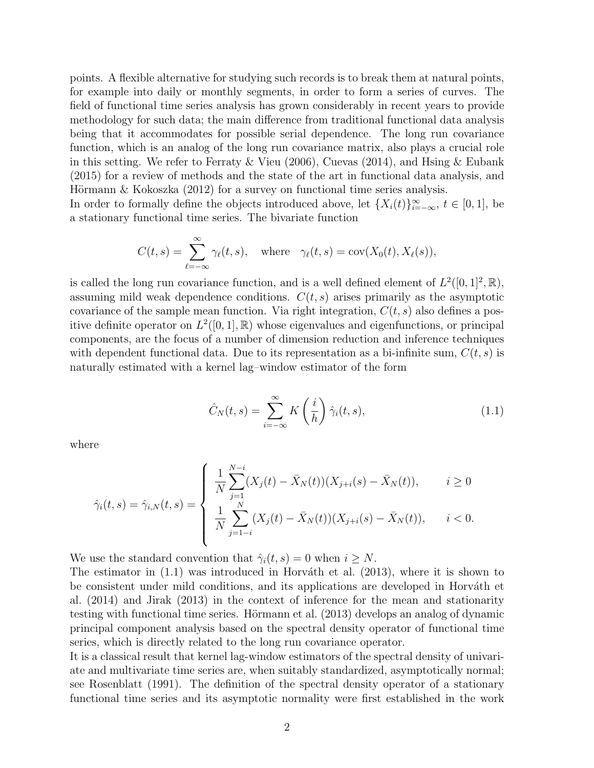points. A flexible alternative for studying such records is to break them at natural points, for example into daily or monthly segments, in order to form a series of curves. The field of functional time series analysis has grown considerably in recent years to provide methodology for such data; the main difference from traditional functional data analysis being that it accommodates for possible serial dependence. The long run covariance function, which is an analog of the long run covariance matrix, also plays a crucial role in this setting. We refer to Ferraty & Vieu (2006), Cuevas (2014), and Hsing & Eubank (2015) for a review of methods and the state of the art in functional data analysis, and Hörmann & Kokoszka  $(2012)$  for a survey on functional time series analysis.

In order to formally define the objects introduced above, let  $\{X_i(t)\}_{i=-\infty}^{\infty}$ ,  $t \in [0,1]$ , be a stationary functional time series. The bivariate function

$$
C(t,s) = \sum_{\ell=-\infty}^{\infty} \gamma_{\ell}(t,s), \quad \text{where} \quad \gamma_{\ell}(t,s) = \text{cov}(X_0(t), X_{\ell}(s)),
$$

is called the long run covariance function, and is a well defined element of  $L^2([0,1]^2,\mathbb{R})$ , assuming mild weak dependence conditions.  $C(t, s)$  arises primarily as the asymptotic covariance of the sample mean function. Via right integration,  $C(t, s)$  also defines a positive definite operator on  $L^2([0,1], \mathbb{R})$  whose eigenvalues and eigenfunctions, or principal components, are the focus of a number of dimension reduction and inference techniques with dependent functional data. Due to its representation as a bi-infinite sum,  $C(t, s)$  is naturally estimated with a kernel lag–window estimator of the form

$$
\hat{C}_N(t,s) = \sum_{i=-\infty}^{\infty} K\left(\frac{i}{h}\right) \hat{\gamma}_i(t,s),\tag{1.1}
$$

where

$$
\hat{\gamma}_i(t,s) = \hat{\gamma}_{i,N}(t,s) = \begin{cases} \frac{1}{N} \sum_{j=1}^{N-i} (X_j(t) - \bar{X}_N(t))(X_{j+i}(s) - \bar{X}_N(t)), & i \ge 0\\ \frac{1}{N} \sum_{j=1-i}^N (X_j(t) - \bar{X}_N(t))(X_{j+i}(s) - \bar{X}_N(t)), & i < 0. \end{cases}
$$

We use the standard convention that  $\hat{\gamma}_i(t, s) = 0$  when  $i \geq N$ .

The estimator in  $(1.1)$  was introduced in Horváth et al.  $(2013)$ , where it is shown to be consistent under mild conditions, and its applications are developed in Horváth et al. (2014) and Jirak (2013) in the context of inference for the mean and stationarity testing with functional time series. Hörmann et al. (2013) develops an analog of dynamic principal component analysis based on the spectral density operator of functional time series, which is directly related to the long run covariance operator.

It is a classical result that kernel lag-window estimators of the spectral density of univariate and multivariate time series are, when suitably standardized, asymptotically normal; see Rosenblatt (1991). The definition of the spectral density operator of a stationary functional time series and its asymptotic normality were first established in the work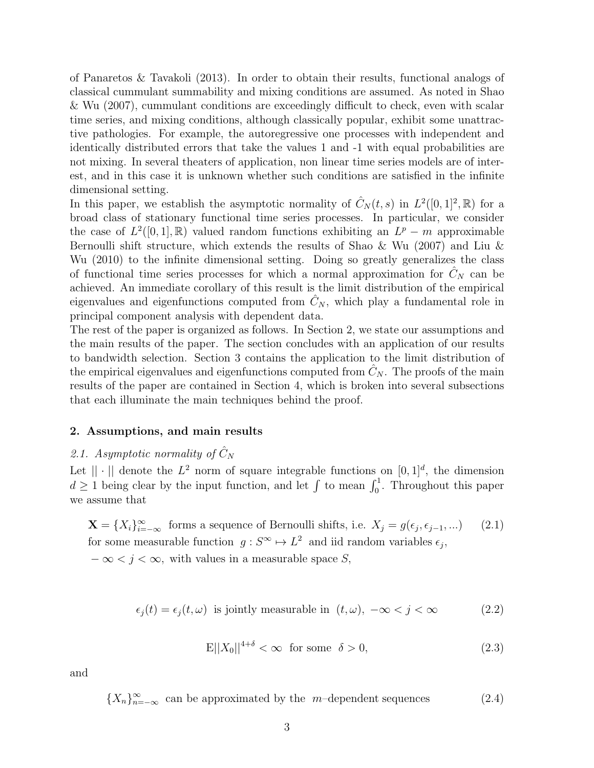of Panaretos & Tavakoli (2013). In order to obtain their results, functional analogs of classical cummulant summability and mixing conditions are assumed. As noted in Shao & Wu (2007), cummulant conditions are exceedingly difficult to check, even with scalar time series, and mixing conditions, although classically popular, exhibit some unattractive pathologies. For example, the autoregressive one processes with independent and identically distributed errors that take the values 1 and -1 with equal probabilities are not mixing. In several theaters of application, non linear time series models are of interest, and in this case it is unknown whether such conditions are satisfied in the infinite dimensional setting.

In this paper, we establish the asymptotic normality of  $\hat{C}_N(t,s)$  in  $L^2([0,1]^2,\mathbb{R})$  for a broad class of stationary functional time series processes. In particular, we consider the case of  $L^2([0,1],\mathbb{R})$  valued random functions exhibiting an  $L^p - m$  approximable Bernoulli shift structure, which extends the results of Shao & Wu (2007) and Liu & Wu (2010) to the infinite dimensional setting. Doing so greatly generalizes the class of functional time series processes for which a normal approximation for  $C<sub>N</sub>$  can be achieved. An immediate corollary of this result is the limit distribution of the empirical eigenvalues and eigenfunctions computed from  $\hat{C}_N$ , which play a fundamental role in principal component analysis with dependent data.

The rest of the paper is organized as follows. In Section 2, we state our assumptions and the main results of the paper. The section concludes with an application of our results to bandwidth selection. Section 3 contains the application to the limit distribution of the empirical eigenvalues and eigenfunctions computed from  $C_N$ . The proofs of the main results of the paper are contained in Section 4, which is broken into several subsections that each illuminate the main techniques behind the proof.

### **2. Assumptions, and main results**

# 2.1. Asymptotic normality of  $\hat{C}_N$

Let  $|| \cdot ||$  denote the  $L^2$  norm of square integrable functions on  $[0, 1]^d$ , the dimension  $d \geq 1$  being clear by the input function, and let  $\int$  to mean  $\int_0^1$ . Throughout this paper we assume that

 $\mathbf{X} = \{X_i\}_{i=-\infty}^{\infty}$  forms a sequence of Bernoulli shifts, i.e.  $X_j = g(\epsilon_j, \epsilon_{j-1}, \dots)$  (2.1) for some measurable function  $g: S^{\infty} \to L^2$  and iid random variables  $\epsilon_j$ ,

*− ∞ < j < ∞,* with values in a measurable space *S,*

$$
\epsilon_j(t) = \epsilon_j(t, \omega) \text{ is jointly measurable in } (t, \omega), \ -\infty < j < \infty \tag{2.2}
$$

$$
E||X_0||^{4+\delta} < \infty \quad \text{for some} \quad \delta > 0,\tag{2.3}
$$

and

 ${X_n}_{n=-\infty}^{\infty}$  can be approximated by the *m*–dependent sequences (2.4)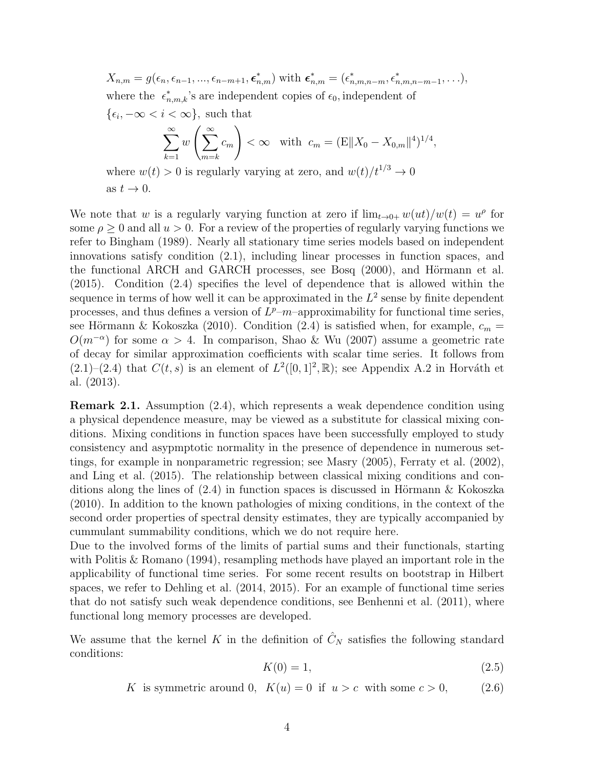$$
X_{n,m} = g(\epsilon_n, \epsilon_{n-1}, ..., \epsilon_{n-m+1}, \epsilon_{n,m}^*)
$$
 with  $\epsilon_{n,m}^* = (\epsilon_{n,m,n-m}^*, \epsilon_{n,m,n-m-1}^*, ...),$   
where the  $\epsilon_{n,m,k}^*$ 's are independent copies of  $\epsilon_0$ , independent of  
 $\{\epsilon_i, -\infty < i < \infty\}$ , such that  

$$
\sum_{k=1}^{\infty} w\left(\sum_{m=k}^{\infty} c_m\right) < \infty
$$
 with  $c_m = (E||X_0 - X_{0,m}||^4)^{1/4},$   
where  $w(t) > 0$  is regularly varying at zero, and  $w(t)/t^{1/3} \to 0$   
as  $t \to 0$ .

We note that *w* is a regularly varying function at zero if  $\lim_{t\to 0+} w(u t)/w(t) = u^{\rho}$  for some  $\rho \geq 0$  and all  $u > 0$ . For a review of the properties of regularly varying functions we refer to Bingham (1989). Nearly all stationary time series models based on independent innovations satisfy condition (2.1), including linear processes in function spaces, and the functional ARCH and GARCH processes, see Bosq (2000), and Hörmann et al. (2015). Condition (2.4) specifies the level of dependence that is allowed within the sequence in terms of how well it can be approximated in the  $L^2$  sense by finite dependent processes, and thus defines a version of  $L^p$ – $m$ –approximability for functional time series, see Hörmann & Kokoszka (2010). Condition (2.4) is satisfied when, for example,  $c_m =$  $O(m^{-\alpha})$  for some  $\alpha > 4$ . In comparison, Shao & Wu (2007) assume a geometric rate of decay for similar approximation coefficients with scalar time series. It follows from  $(2.1)$ – $(2.4)$  that  $C(t, s)$  is an element of  $L^2([0, 1]^2, \mathbb{R})$ ; see Appendix A.2 in Horváth et al. (2013).

**Remark 2.1.** Assumption (2.4), which represents a weak dependence condition using a physical dependence measure, may be viewed as a substitute for classical mixing conditions. Mixing conditions in function spaces have been successfully employed to study consistency and asypmptotic normality in the presence of dependence in numerous settings, for example in nonparametric regression; see Masry (2005), Ferraty et al. (2002), and Ling et al. (2015). The relationship between classical mixing conditions and conditions along the lines of  $(2.4)$  in function spaces is discussed in Hörmann & Kokoszka (2010). In addition to the known pathologies of mixing conditions, in the context of the second order properties of spectral density estimates, they are typically accompanied by cummulant summability conditions, which we do not require here.

Due to the involved forms of the limits of partial sums and their functionals, starting with Politis & Romano (1994), resampling methods have played an important role in the applicability of functional time series. For some recent results on bootstrap in Hilbert spaces, we refer to Dehling et al. (2014, 2015). For an example of functional time series that do not satisfy such weak dependence conditions, see Benhenni et al. (2011), where functional long memory processes are developed.

We assume that the kernel *K* in the definition of  $\hat{C}_N$  satisfies the following standard conditions:

$$
K(0) = 1,\tag{2.5}
$$

*K* is symmetric around 0*,*  $K(u) = 0$  if  $u > c$  with some  $c > 0$ , (2.6)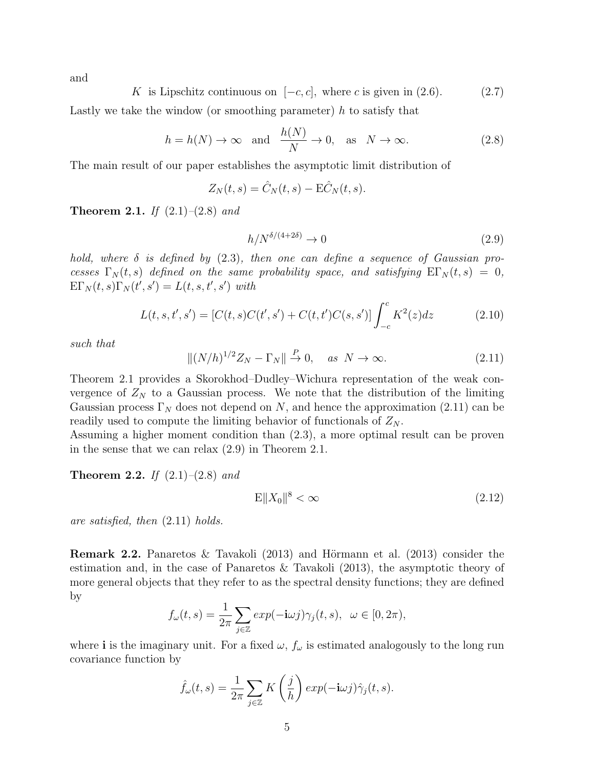and

*K* is Lipschitz continuous on  $[-c, c]$ , where *c* is given in (2.6). (2.7)

Lastly we take the window (or smoothing parameter) *h* to satisfy that

$$
h = h(N) \to \infty \quad \text{and} \quad \frac{h(N)}{N} \to 0, \quad \text{as} \quad N \to \infty. \tag{2.8}
$$

The main result of our paper establishes the asymptotic limit distribution of

$$
Z_N(t,s) = \hat{C}_N(t,s) - \mathbf{E}\hat{C}_N(t,s).
$$

**Theorem 2.1.** *If* (2.1)*–*(2.8) *and*

$$
h/N^{\delta/(4+2\delta)} \to 0 \tag{2.9}
$$

*hold, where δ is defined by* (2.3)*, then one can define a sequence of Gaussian processes*  $\Gamma_N(t,s)$  *defined on the same probability space, and satisfying*  $\Gamma_N(t,s) = 0$ ,  $\text{E}\Gamma_N(t,s)\Gamma_N(t',s') = L(t,s,t',s')$  with

$$
L(t, s, t', s') = [C(t, s)C(t', s') + C(t, t')C(s, s')] \int_{-c}^{c} K^2(z)dz
$$
 (2.10)

*such that*

$$
\|(N/h)^{1/2}Z_N - \Gamma_N\| \stackrel{P}{\to} 0, \quad \text{as } N \to \infty. \tag{2.11}
$$

Theorem 2.1 provides a Skorokhod–Dudley–Wichura representation of the weak convergence of  $Z_N$  to a Gaussian process. We note that the distribution of the limiting Gaussian process  $\Gamma_N$  does not depend on *N*, and hence the approximation (2.11) can be readily used to compute the limiting behavior of functionals of  $Z_N$ .

Assuming a higher moment condition than (2.3), a more optimal result can be proven in the sense that we can relax (2.9) in Theorem 2.1.

**Theorem 2.2.** *If* (2.1)*–*(2.8) *and*

$$
\mathbf{E}||X_0||^8 < \infty \tag{2.12}
$$

*are satisfied, then* (2.11) *holds.*

**Remark 2.2.** Panaretos & Tavakoli  $(2013)$  and Hörmann et al.  $(2013)$  consider the estimation and, in the case of Panaretos & Tavakoli (2013), the asymptotic theory of more general objects that they refer to as the spectral density functions; they are defined by

$$
f_{\omega}(t,s) = \frac{1}{2\pi} \sum_{j \in \mathbb{Z}} exp(-\mathbf{i}\omega j) \gamma_j(t,s), \ \omega \in [0, 2\pi),
$$

where **i** is the imaginary unit. For a fixed  $\omega$ ,  $f_{\omega}$  is estimated analogously to the long run covariance function by

$$
\hat{f}_{\omega}(t,s) = \frac{1}{2\pi} \sum_{j \in \mathbb{Z}} K\left(\frac{j}{h}\right) exp(-\mathbf{i}\omega j) \hat{\gamma}_j(t,s).
$$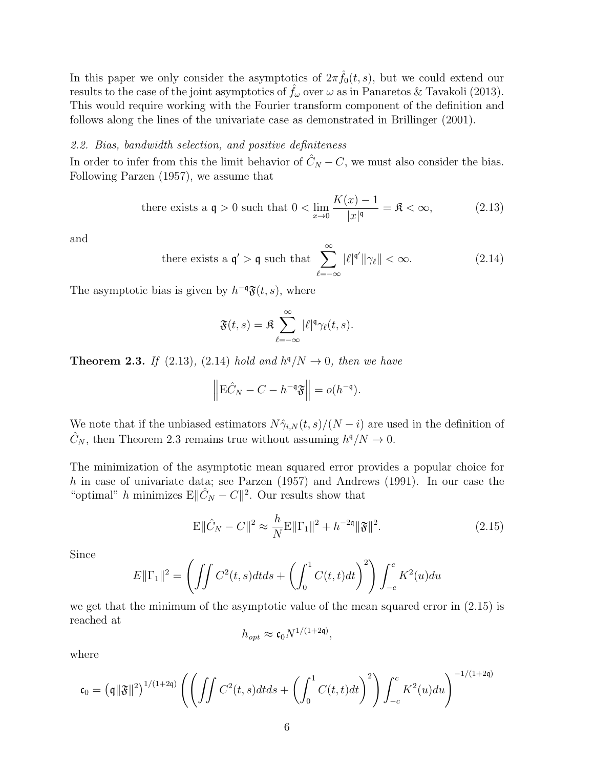In this paper we only consider the asymptotics of  $2\pi \hat{f}_0(t,s)$ , but we could extend our results to the case of the joint asymptotics of  $\hat{f}_\omega$  over  $\omega$  as in Panaretos & Tavakoli (2013). This would require working with the Fourier transform component of the definition and follows along the lines of the univariate case as demonstrated in Brillinger (2001).

#### *2.2. Bias, bandwidth selection, and positive definiteness*

In order to infer from this the limit behavior of  $\hat{C}_N - C$ , we must also consider the bias. Following Parzen (1957), we assume that

there exists a 
$$
\mathfrak{q} > 0
$$
 such that  $0 < \lim_{x \to 0} \frac{K(x) - 1}{|x|^{\mathfrak{q}}} = \mathfrak{K} < \infty,$  (2.13)

and

there exists a 
$$
\mathfrak{q}' > \mathfrak{q}
$$
 such that 
$$
\sum_{\ell=-\infty}^{\infty} |\ell|^{\mathfrak{q}'} ||\gamma_{\ell}|| < \infty.
$$
 (2.14)

The asymptotic bias is given by  $h^{-q}$  $\mathfrak{F}(t, s)$ , where

$$
\mathfrak{F}(t,s) = \mathfrak{K} \sum_{\ell=-\infty}^{\infty} |\ell|^{\mathfrak{q}} \gamma_{\ell}(t,s).
$$

**Theorem 2.3.** *If* (2.13)*,* (2.14) *hold and*  $h^q/N \rightarrow 0$ *, then we have* 

$$
\left\|\mathbf{E}\hat{C}_N - C - h^{-\mathfrak{q}}\mathfrak{F}\right\| = o(h^{-\mathfrak{q}}).
$$

We note that if the unbiased estimators  $N\hat{\gamma}_{i,N}(t,s)/(N-i)$  are used in the definition of  $\hat{C}_N$ , then Theorem 2.3 remains true without assuming  $h^{\mathfrak{q}}/N \to 0$ .

The minimization of the asymptotic mean squared error provides a popular choice for *h* in case of univariate data; see Parzen (1957) and Andrews (1991). In our case the "optimal" *h* minimizes E $\|\hat{C}_N - C\|^2$ . Our results show that

$$
\mathbf{E} \|\hat{C}_N - C\|^2 \approx \frac{h}{N} \mathbf{E} \|\Gamma_1\|^2 + h^{-2\mathfrak{q}} \|\mathfrak{F}\|^2. \tag{2.15}
$$

Since

$$
E\|\Gamma_1\|^2 = \left(\iint C^2(t,s)dtds + \left(\int_0^1 C(t,t)dt\right)^2\right)\int_{-c}^c K^2(u)du
$$

we get that the minimum of the asymptotic value of the mean squared error in (2.15) is reached at

$$
h_{opt} \approx \mathfrak{c}_0 N^{1/(1+2\mathfrak{q})},
$$

where

$$
\mathfrak{c}_0 = \left(\mathfrak{q} \Vert \mathfrak{F} \Vert^2\right)^{1/(1+2\mathfrak{q})} \left(\left(\int\!\!\!\int C^2(t,s)dt ds + \left(\int_0^1 C(t,t)dt\right)^2\right)\int_{-c}^c K^2(u)du\right)^{-1/(1+2\mathfrak{q})}
$$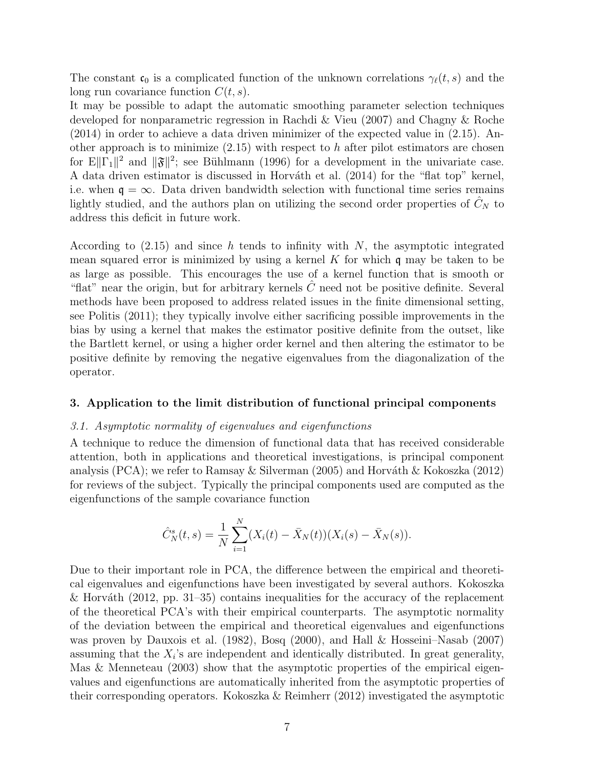The constant  $\mathfrak{c}_0$  is a complicated function of the unknown correlations  $\gamma_\ell(t,s)$  and the long run covariance function *C*(*t, s*).

It may be possible to adapt the automatic smoothing parameter selection techniques developed for nonparametric regression in Rachdi & Vieu (2007) and Chagny & Roche (2014) in order to achieve a data driven minimizer of the expected value in (2.15). Another approach is to minimize  $(2.15)$  with respect to *h* after pilot estimators are chosen for  $E||\Gamma_1||^2$  and  $||\mathfrak{F}||^2$ ; see Bühlmann (1996) for a development in the univariate case. A data driven estimator is discussed in Horváth et al. (2014) for the "flat top" kernel, i.e. when  $\mathfrak{q} = \infty$ . Data driven bandwidth selection with functional time series remains lightly studied, and the authors plan on utilizing the second order properties of  $C<sub>N</sub>$  to address this deficit in future work.

According to (2.15) and since *h* tends to infinity with *N*, the asymptotic integrated mean squared error is minimized by using a kernel *K* for which q may be taken to be as large as possible. This encourages the use of a kernel function that is smooth or "flat" near the origin, but for arbitrary kernels  $\tilde{C}$  need not be positive definite. Several methods have been proposed to address related issues in the finite dimensional setting, see Politis (2011); they typically involve either sacrificing possible improvements in the bias by using a kernel that makes the estimator positive definite from the outset, like the Bartlett kernel, or using a higher order kernel and then altering the estimator to be positive definite by removing the negative eigenvalues from the diagonalization of the operator.

#### **3. Application to the limit distribution of functional principal components**

#### *3.1. Asymptotic normality of eigenvalues and eigenfunctions*

A technique to reduce the dimension of functional data that has received considerable attention, both in applications and theoretical investigations, is principal component analysis (PCA); we refer to Ramsay & Silverman (2005) and Horváth & Kokoszka (2012) for reviews of the subject. Typically the principal components used are computed as the eigenfunctions of the sample covariance function

$$
\hat{C}_N^s(t,s) = \frac{1}{N} \sum_{i=1}^N (X_i(t) - \bar{X}_N(t))(X_i(s) - \bar{X}_N(s)).
$$

Due to their important role in PCA, the difference between the empirical and theoretical eigenvalues and eigenfunctions have been investigated by several authors. Kokoszka & Horváth (2012, pp. 31–35) contains inequalities for the accuracy of the replacement of the theoretical PCA's with their empirical counterparts. The asymptotic normality of the deviation between the empirical and theoretical eigenvalues and eigenfunctions was proven by Dauxois et al. (1982), Bosq (2000), and Hall & Hosseini–Nasab (2007) assuming that the  $X_i$ 's are independent and identically distributed. In great generality, Mas & Menneteau (2003) show that the asymptotic properties of the empirical eigenvalues and eigenfunctions are automatically inherited from the asymptotic properties of their corresponding operators. Kokoszka & Reimherr (2012) investigated the asymptotic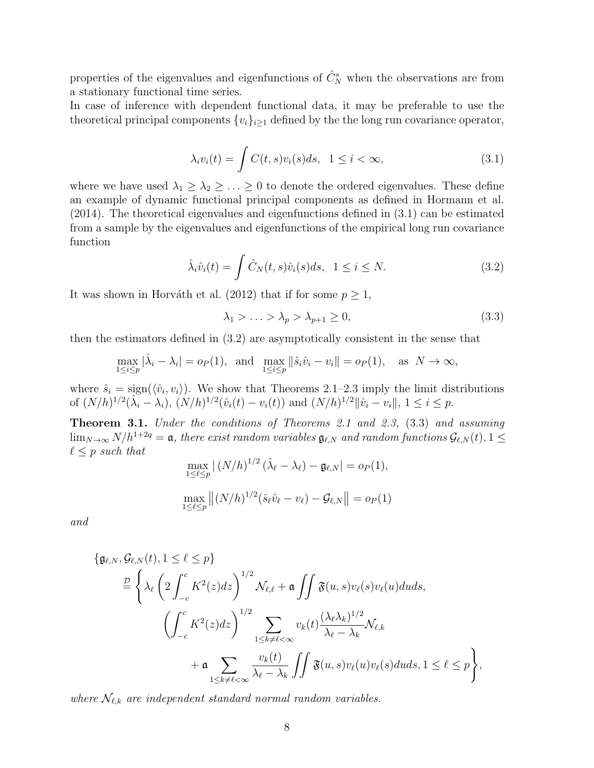properties of the eigenvalues and eigenfunctions of  $\hat{C}_N^s$  when the observations are from a stationary functional time series.

In case of inference with dependent functional data, it may be preferable to use the theoretical principal components  $\{v_i\}_{i\geq 1}$  defined by the the long run covariance operator,

$$
\lambda_i v_i(t) = \int C(t, s) v_i(s) ds, \quad 1 \le i < \infty,
$$
\n(3.1)

where we have used  $\lambda_1 \geq \lambda_2 \geq \ldots \geq 0$  to denote the ordered eigenvalues. These define an example of dynamic functional principal components as defined in Hormann et al. (2014). The theoretical eigenvalues and eigenfunctions defined in (3.1) can be estimated from a sample by the eigenvalues and eigenfunctions of the empirical long run covariance function

$$
\hat{\lambda}_i \hat{v}_i(t) = \int \hat{C}_N(t, s) \hat{v}_i(s) ds, \ \ 1 \le i \le N. \tag{3.2}
$$

It was shown in Horváth et al. (2012) that if for some  $p \geq 1$ ,

$$
\lambda_1 > \ldots > \lambda_p > \lambda_{p+1} \ge 0,
$$
\n
$$
(3.3)
$$

then the estimators defined in (3.2) are asymptotically consistent in the sense that

$$
\max_{1 \le i \le p} |\hat{\lambda}_i - \lambda_i| = o_P(1), \text{ and } \max_{1 \le i \le p} ||\hat{s}_i \hat{v}_i - v_i|| = o_P(1), \text{ as } N \to \infty,
$$

where  $\hat{s}_i = \text{sign}(\langle \hat{v}_i, v_i \rangle)$ . We show that Theorems 2.1–2.3 imply the limit distributions of  $(N/h)^{1/2}(\hat{\lambda}_i - \lambda_i)$ ,  $(N/h)^{1/2}(\hat{v}_i(t) - v_i(t))$  and  $(N/h)^{1/2} ||\hat{v}_i - v_i||$ ,  $1 \le i \le p$ .

**Theorem 3.1.** *Under the conditions of Theorems 2.1 and 2.3,* (3.3) *and assuming* lim<sub>N→∞</sub>  $N/h^{1+2q} = a$ , there exist random variables  $\mathfrak{g}_{\ell,N}$  and random functions  $\mathcal{G}_{\ell,N}(t)$ , 1  $\leq$  $\ell \leq p$  *such that* 

$$
\max_{1 \le \ell \le p} |(N/h)^{1/2} (\hat{\lambda}_{\ell} - \lambda_{\ell}) - \mathfrak{g}_{\ell, N}| = o_P(1),
$$
  

$$
\max_{1 \le \ell \le p} |(N/h)^{1/2} (\hat{s}_{\ell} \hat{v}_{\ell} - v_{\ell}) - \mathcal{G}_{\ell, N}| = o_P(1)
$$

*and*

$$
\{\mathfrak{g}_{\ell,N},\mathcal{G}_{\ell,N}(t),1\leq\ell\leq p\}
$$
  
\n
$$
\begin{aligned}\n&\stackrel{D}{=} \left\{\lambda_{\ell}\left(2\int_{-c}^{c} K^{2}(z)dz\right)^{1/2}\mathcal{N}_{\ell,\ell}+\mathfrak{a}\iint \mathfrak{F}(u,s)v_{\ell}(s)v_{\ell}(u)duds,\\
&\left(\int_{-c}^{c} K^{2}(z)dz\right)^{1/2}\sum_{1\leq k\neq\ell<\infty}v_{k}(t)\frac{(\lambda_{\ell}\lambda_{k})^{1/2}}{\lambda_{\ell}-\lambda_{k}}\mathcal{N}_{\ell,k} \\
&\quad+\mathfrak{a}\sum_{1\leq k\neq\ell<\infty}\frac{v_{k}(t)}{\lambda_{\ell}-\lambda_{k}}\iint \mathfrak{F}(u,s)v_{\ell}(u)v_{\ell}(s)duds,1\leq\ell\leq p\right\},\n\end{aligned}
$$

*where*  $\mathcal{N}_{\ell,k}$  *are independent standard normal random variables.*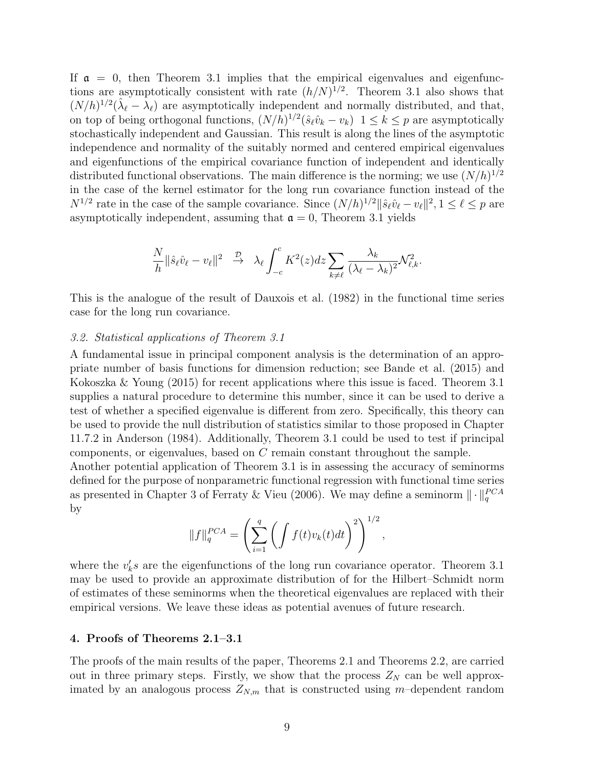If  $\alpha = 0$ , then Theorem 3.1 implies that the empirical eigenvalues and eigenfunctions are asymptotically consistent with rate  $(h/N)^{1/2}$ . Theorem 3.1 also shows that  $(N/h)^{1/2}(\hat{\lambda}_{\ell} - \lambda_{\ell})$  are asymptotically independent and normally distributed, and that, on top of being orthogonal functions,  $(N/h)^{1/2}(\hat{s}_{\ell}\hat{v}_{k} - v_{k})$   $1 \leq k \leq p$  are asymptotically stochastically independent and Gaussian. This result is along the lines of the asymptotic independence and normality of the suitably normed and centered empirical eigenvalues and eigenfunctions of the empirical covariance function of independent and identically distributed functional observations. The main difference is the norming; we use  $(N/h)^{1/2}$ in the case of the kernel estimator for the long run covariance function instead of the *N*<sup>1/2</sup> rate in the case of the sample covariance. Since  $(N/h)^{1/2} || \hat{s}_{\ell} \hat{v}_{\ell} - v_{\ell} ||^2$ ,  $1 \leq \ell \leq p$  are asymptotically independent, assuming that  $\mathfrak{a} = 0$ , Theorem 3.1 yields

$$
\frac{N}{h} \|\hat{s}_{\ell}\hat{v}_{\ell} - v_{\ell}\|^2 \quad \stackrel{\mathcal{D}}{\rightarrow} \quad \lambda_{\ell} \int_{-c}^{c} K^2(z) dz \sum_{k \neq \ell} \frac{\lambda_k}{(\lambda_{\ell} - \lambda_k)^2} \mathcal{N}_{\ell,k}^2.
$$

This is the analogue of the result of Dauxois et al. (1982) in the functional time series case for the long run covariance.

#### *3.2. Statistical applications of Theorem 3.1*

A fundamental issue in principal component analysis is the determination of an appropriate number of basis functions for dimension reduction; see Bande et al. (2015) and Kokoszka & Young (2015) for recent applications where this issue is faced. Theorem 3.1 supplies a natural procedure to determine this number, since it can be used to derive a test of whether a specified eigenvalue is different from zero. Specifically, this theory can be used to provide the null distribution of statistics similar to those proposed in Chapter 11.7.2 in Anderson (1984). Additionally, Theorem 3.1 could be used to test if principal components, or eigenvalues, based on *C* remain constant throughout the sample.

Another potential application of Theorem 3.1 is in assessing the accuracy of seminorms defined for the purpose of nonparametric functional regression with functional time series as presented in Chapter 3 of Ferraty & Vieu (2006). We may define a seminorm  $\|\cdot\|_q^{PCA}$ by

$$
||f||_q^{PCA} = \left(\sum_{i=1}^q \left(\int f(t)v_k(t)dt\right)^2\right)^{1/2},
$$

where the  $v'_{k}$ s are the eigenfunctions of the long run covariance operator. Theorem 3.1 may be used to provide an approximate distribution of for the Hilbert–Schmidt norm of estimates of these seminorms when the theoretical eigenvalues are replaced with their empirical versions. We leave these ideas as potential avenues of future research.

#### **4. Proofs of Theorems 2.1–3.1**

The proofs of the main results of the paper, Theorems 2.1 and Theorems 2.2, are carried out in three primary steps. Firstly, we show that the process  $Z_N$  can be well approximated by an analogous process  $Z_{N,m}$  that is constructed using *m*-dependent random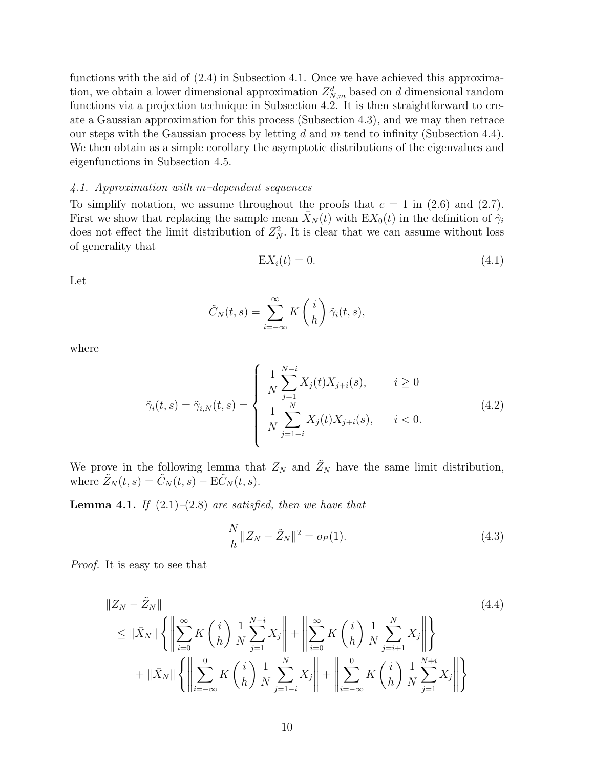functions with the aid of (2.4) in Subsection 4.1. Once we have achieved this approximation, we obtain a lower dimensional approximation  $Z_{N,m}^d$  based on *d* dimensional random functions via a projection technique in Subsection 4.2. It is then straightforward to create a Gaussian approximation for this process (Subsection 4.3), and we may then retrace our steps with the Gaussian process by letting *d* and *m* tend to infinity (Subsection 4.4). We then obtain as a simple corollary the asymptotic distributions of the eigenvalues and eigenfunctions in Subsection 4.5.

#### *4.1. Approximation with m–dependent sequences*

To simplify notation, we assume throughout the proofs that  $c = 1$  in (2.6) and (2.7). First we show that replacing the sample mean  $\bar{X}_N(t)$  with  $EX_0(t)$  in the definition of  $\hat{\gamma}_i$ does not effect the limit distribution of  $Z_N^2$ . It is clear that we can assume without loss of generality that

$$
\mathbf{E}X_i(t) = 0.\tag{4.1}
$$

Let

$$
\tilde{C}_N(t,s) = \sum_{i=-\infty}^{\infty} K\left(\frac{i}{h}\right) \tilde{\gamma}_i(t,s),
$$

where

$$
\tilde{\gamma}_i(t,s) = \tilde{\gamma}_{i,N}(t,s) = \begin{cases} \frac{1}{N} \sum_{j=1}^{N-i} X_j(t) X_{j+i}(s), & i \ge 0\\ \frac{1}{N} \sum_{j=1-i}^{N} X_j(t) X_{j+i}(s), & i < 0. \end{cases}
$$
\n(4.2)

We prove in the following lemma that  $Z_N$  and  $\tilde{Z}_N$  have the same limit distribution, where  $\tilde{Z}_N(t,s) = \tilde{C}_N(t,s) - \mathbf{E}\tilde{C}_N(t,s)$ .

**Lemma 4.1.** *If*  $(2.1)$ – $(2.8)$  *are satisfied, then we have that* 

$$
\frac{N}{h} \|Z_N - \tilde{Z}_N\|^2 = o_P(1).
$$
\n(4.3)

*Proof.* It is easy to see that

$$
\|Z_N - \tilde{Z}_N\| \leq \|\bar{X}_N\| \left\{ \left\|\sum_{i=0}^{\infty} K\left(\frac{i}{h}\right) \frac{1}{N} \sum_{j=1}^{N-i} X_j \right\| + \left\|\sum_{i=0}^{\infty} K\left(\frac{i}{h}\right) \frac{1}{N} \sum_{j=i+1}^{N} X_j \right\| \right\} + \|\bar{X}_N\| \left\{ \left\|\sum_{i=-\infty}^{0} K\left(\frac{i}{h}\right) \frac{1}{N} \sum_{j=1-i}^{N} X_j \right\| + \left\|\sum_{i=-\infty}^{0} K\left(\frac{i}{h}\right) \frac{1}{N} \sum_{j=1}^{N+i} X_j \right\| \right\}
$$
\n(4.4)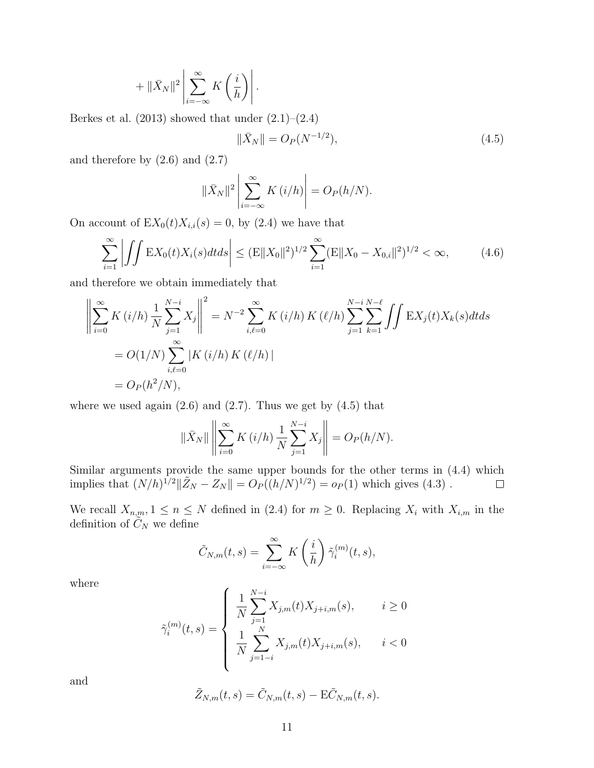$$
+ \| \bar{X}_N \|^2 \left| \sum_{i=-\infty}^{\infty} K\left(\frac{i}{h}\right) \right|.
$$

Berkes et al.  $(2013)$  showed that under  $(2.1)$ – $(2.4)$ 

$$
\|\bar{X}_N\| = O_P(N^{-1/2}),\tag{4.5}
$$

and therefore by  $(2.6)$  and  $(2.7)$ 

$$
\|\bar{X}_N\|^2 \left| \sum_{i=-\infty}^{\infty} K(i/h) \right| = O_P(h/N).
$$

On account of  $EX_0(t)X_{i,i}(s) = 0$ , by (2.4) we have that

$$
\sum_{i=1}^{\infty} \left| \iint \mathbb{E}X_0(t)X_i(s)dtds \right| \leq (\mathbb{E}||X_0||^2)^{1/2} \sum_{i=1}^{\infty} (\mathbb{E}||X_0 - X_{0,i}||^2)^{1/2} < \infty, \tag{4.6}
$$

and therefore we obtain immediately that

$$
\left\| \sum_{i=0}^{\infty} K(i/h) \frac{1}{N} \sum_{j=1}^{N-i} X_j \right\|^2 = N^{-2} \sum_{i,\ell=0}^{\infty} K(i/h) K(\ell/h) \sum_{j=1}^{N-i} \sum_{k=1}^{N-\ell} \iint \mathbf{E} X_j(t) X_k(s) dt ds
$$
  
=  $O(1/N) \sum_{i,\ell=0}^{\infty} |K(i/h) K(\ell/h)|$   
=  $O_P(h^2/N)$ ,

where we used again  $(2.6)$  and  $(2.7)$ . Thus we get by  $(4.5)$  that

$$
\|\bar{X}_N\| \left\| \sum_{i=0}^{\infty} K(i/h) \frac{1}{N} \sum_{j=1}^{N-i} X_j \right\| = O_P(h/N).
$$

Similar arguments provide the same upper bounds for the other terms in (4.4) which implies that  $(N/h)^{1/2} || \tilde{Z}_N - Z_N || = O_P((h/N)^{1/2}) = o_P(1)$  which gives (4.3).  $\Box$ 

We recall  $X_{n,m}, 1 \leq n \leq N$  defined in (2.4) for  $m \geq 0$ . Replacing  $X_i$  with  $X_{i,m}$  in the definition of  $\tilde{C}_N$  we define

$$
\tilde{C}_{N,m}(t,s) = \sum_{i=-\infty}^{\infty} K\left(\frac{i}{h}\right) \tilde{\gamma}_i^{(m)}(t,s),
$$

where

$$
\tilde{\gamma}_i^{(m)}(t,s) = \begin{cases}\n\frac{1}{N} \sum_{j=1}^{N-i} X_{j,m}(t) X_{j+i,m}(s), & i \ge 0 \\
\frac{1}{N} \sum_{j=1-i}^{N} X_{j,m}(t) X_{j+i,m}(s), & i < 0\n\end{cases}
$$

and

$$
\tilde{Z}_{N,m}(t,s)=\tilde{C}_{N,m}(t,s)-\mathbf{E}\tilde{C}_{N,m}(t,s).
$$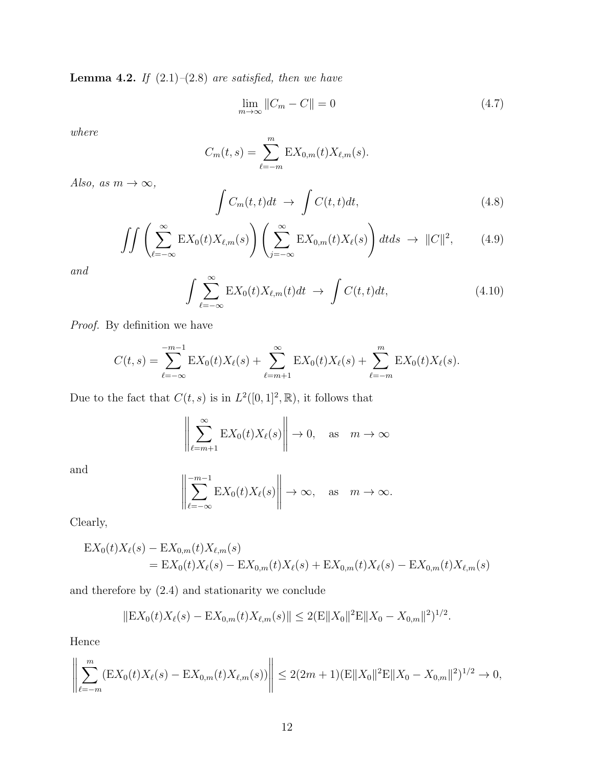**Lemma 4.2.** *If* (2.1)*–*(2.8) *are satisfied, then we have*

$$
\lim_{m \to \infty} ||C_m - C|| = 0 \tag{4.7}
$$

*where*

$$
C_m(t,s) = \sum_{\ell=-m}^{m} \mathbf{E} X_{0,m}(t) X_{\ell,m}(s).
$$

*Also, as*  $m \to \infty$ *,* 

$$
\int C_m(t,t)dt \to \int C(t,t)dt,
$$
\n(4.8)

$$
\iint \left( \sum_{\ell=-\infty}^{\infty} \mathbb{E} X_0(t) X_{\ell,m}(s) \right) \left( \sum_{j=-\infty}^{\infty} \mathbb{E} X_{0,m}(t) X_{\ell}(s) \right) dt ds \to ||C||^2, \tag{4.9}
$$

*and*

$$
\int \sum_{\ell=-\infty}^{\infty} \mathcal{E}X_0(t)X_{\ell,m}(t)dt \to \int C(t,t)dt,
$$
\n(4.10)

*Proof.* By definition we have

$$
C(t,s) = \sum_{\ell=-\infty}^{-m-1} \mathbb{E}X_0(t)X_{\ell}(s) + \sum_{\ell=m+1}^{\infty} \mathbb{E}X_0(t)X_{\ell}(s) + \sum_{\ell=-m}^{m} \mathbb{E}X_0(t)X_{\ell}(s).
$$

Due to the fact that  $C(t, s)$  is in  $L^2([0, 1]^2, \mathbb{R})$ , it follows that

$$
\left\| \sum_{\ell=m+1}^{\infty} \mathbf{E} X_0(t) X_{\ell}(s) \right\| \to 0, \quad \text{as} \quad m \to \infty
$$

and

$$
\left\| \sum_{\ell=-\infty}^{-m-1} \mathbf{E} X_0(t) X_{\ell}(s) \right\| \to \infty, \quad \text{as} \quad m \to \infty.
$$

Clearly,

$$
EX_0(t)X_\ell(s) - EX_{0,m}(t)X_{\ell,m}(s)
$$
  
=  $EX_0(t)X_\ell(s) - EX_{0,m}(t)X_\ell(s) + EX_{0,m}(t)X_\ell(s) - EX_{0,m}(t)X_{\ell,m}(s)$ 

and therefore by (2.4) and stationarity we conclude

$$
\|\mathcal{E}X_0(t)X_\ell(s)-\mathcal{E}X_{0,m}(t)X_{\ell,m}(s)\|\leq 2(\mathcal{E}\|X_0\|^2\mathcal{E}\|X_0-X_{0,m}\|^2)^{1/2}.
$$

Hence

$$
\left\| \sum_{\ell=-m}^{m} (EX_0(t)X_{\ell}(s) - EX_{0,m}(t)X_{\ell,m}(s)) \right\| \le 2(2m+1)(\mathbb{E}||X_0||^2 \mathbb{E}||X_0 - X_{0,m}||^2)^{1/2} \to 0,
$$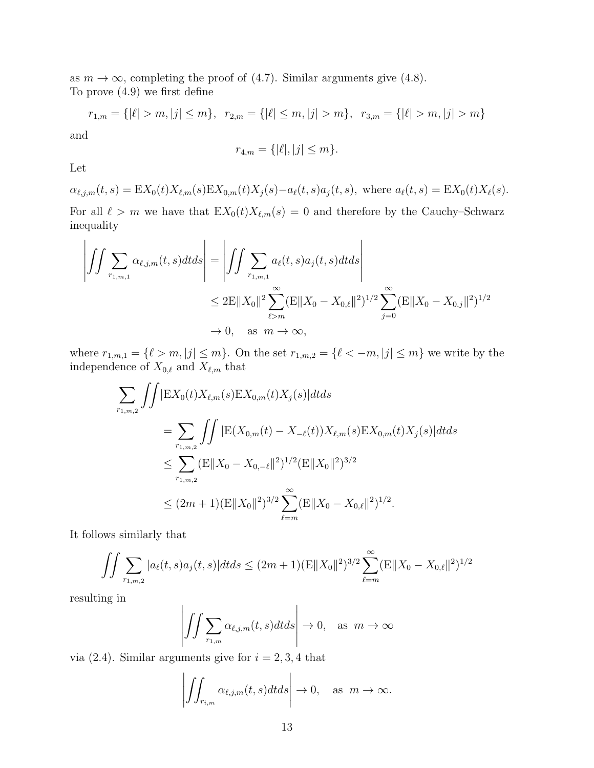as  $m \to \infty$ , completing the proof of (4.7). Similar arguments give (4.8). To prove (4.9) we first define

$$
r_{1,m} = \{ |\ell| > m, |j| \le m \}, r_{2,m} = \{ |\ell| \le m, |j| > m \}, r_{3,m} = \{ |\ell| > m, |j| > m \}
$$

and

$$
r_{4,m} = \{ |\ell|, |j| \le m \}.
$$

Let

 $\alpha_{\ell,j,m}(t,s) = \mathbb{E}X_0(t)X_{\ell,m}(s)\mathbb{E}X_{0,m}(t)X_j(s) - a_{\ell}(t,s)a_j(t,s)$ , where  $a_{\ell}(t,s) = \mathbb{E}X_0(t)X_{\ell}(s)$ .

For all  $\ell > m$  we have that  $EX_0(t)X_{\ell,m}(s) = 0$  and therefore by the Cauchy–Schwarz inequality

$$
\left| \iint \sum_{r_{1,m,1}} \alpha_{\ell,j,m}(t,s) dt ds \right| = \left| \iint \sum_{r_{1,m,1}} \alpha_{\ell}(t,s) a_j(t,s) dt ds \right|
$$
  

$$
\leq 2E ||X_0||^2 \sum_{\ell>m}^{\infty} (E ||X_0 - X_{0,\ell}||^2)^{1/2} \sum_{j=0}^{\infty} (E ||X_0 - X_{0,j}||^2)^{1/2}
$$
  

$$
\to 0, \text{ as } m \to \infty,
$$

where  $r_{1,m,1} = \{ \ell > m, |j| \leq m \}$ . On the set  $r_{1,m,2} = \{ \ell < -m, |j| \leq m \}$  we write by the independence of  $X_{0,\ell}$  and  $X_{\ell,m}$  that

$$
\sum_{r_{1,m,2}} \iint |\mathbf{E}X_{0}(t)X_{\ell,m}(s)\mathbf{E}X_{0,m}(t)X_{j}(s)|dtds
$$
\n
$$
= \sum_{r_{1,m,2}} \iint |\mathbf{E}(X_{0,m}(t) - X_{-\ell}(t))X_{\ell,m}(s)\mathbf{E}X_{0,m}(t)X_{j}(s)|dtds
$$
\n
$$
\leq \sum_{r_{1,m,2}} (\mathbf{E}||X_{0} - X_{0,-\ell}||^{2})^{1/2} (\mathbf{E}||X_{0}||^{2})^{3/2}
$$
\n
$$
\leq (2m+1)(\mathbf{E}||X_{0}||^{2})^{3/2} \sum_{\ell=m}^{\infty} (\mathbf{E}||X_{0} - X_{0,\ell}||^{2})^{1/2}.
$$

It follows similarly that

$$
\iint \sum_{r_{1,m,2}} |a_{\ell}(t,s)a_j(t,s)|dt ds \le (2m+1) (E||X_0||^2)^{3/2} \sum_{\ell=m}^{\infty} (E||X_0 - X_{0,\ell}||^2)^{1/2}
$$

resulting in

$$
\left| \iint \sum_{r_{1,m}} \alpha_{\ell,j,m}(t,s) dt ds \right| \to 0, \text{ as } m \to \infty
$$

via  $(2.4)$ . Similar arguments give for  $i = 2, 3, 4$  that

$$
\left| \iint_{r_{i,m}} \alpha_{\ell,j,m}(t,s) dt ds \right| \to 0, \quad \text{as } m \to \infty.
$$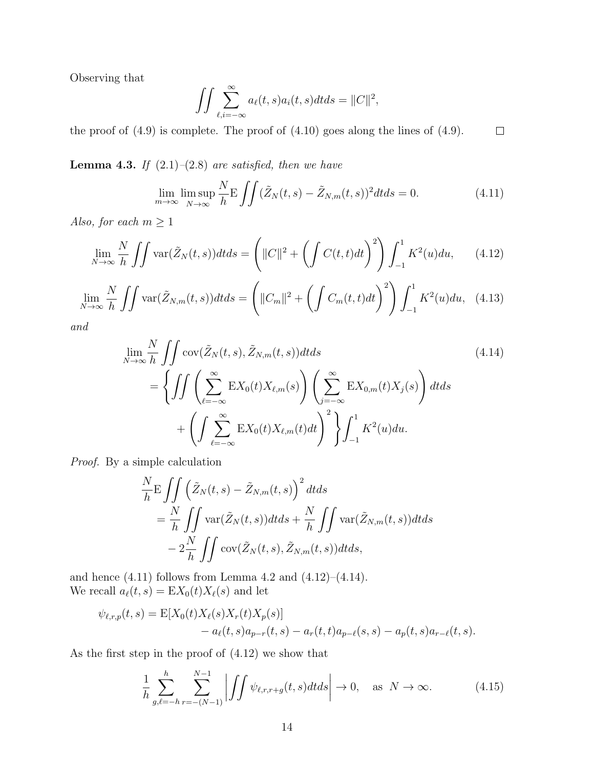Observing that

$$
\iint \sum_{\ell,i=-\infty}^{\infty} a_{\ell}(t,s)a_{i}(t,s)dtds = ||C||^{2},
$$

the proof of  $(4.9)$  is complete. The proof of  $(4.10)$  goes along the lines of  $(4.9)$ .  $\Box$ 

**Lemma 4.3.** *If*  $(2.1)$ *–* $(2.8)$  *are satisfied, then we have* 

$$
\lim_{m \to \infty} \limsup_{N \to \infty} \frac{N}{h} \mathcal{E} \iint (\tilde{Z}_N(t,s) - \tilde{Z}_{N,m}(t,s))^2 dt ds = 0.
$$
 (4.11)

*Also, for each*  $m \geq 1$ 

$$
\lim_{N \to \infty} \frac{N}{h} \iint \text{var}(\tilde{Z}_N(t,s)) dt ds = \left( ||C||^2 + \left( \int C(t,t) dt \right)^2 \right) \int_{-1}^1 K^2(u) du, \tag{4.12}
$$

$$
\lim_{N \to \infty} \frac{N}{h} \iint \text{var}(\tilde{Z}_{N,m}(t,s)) dt ds = \left( \|C_m\|^2 + \left( \int C_m(t,t) dt \right)^2 \right) \int_{-1}^1 K^2(u) du, \tag{4.13}
$$

*and*

$$
\lim_{N \to \infty} \frac{N}{h} \iint \operatorname{cov}(\tilde{Z}_N(t,s), \tilde{Z}_{N,m}(t,s)) dt ds
$$
\n
$$
= \left\{ \iint \left( \sum_{\ell=-\infty}^{\infty} \operatorname{E}X_0(t) X_{\ell,m}(s) \right) \left( \sum_{j=-\infty}^{\infty} \operatorname{E}X_{0,m}(t) X_j(s) \right) dt ds + \left( \int \sum_{\ell=-\infty}^{\infty} \operatorname{E}X_0(t) X_{\ell,m}(t) dt \right)^2 \right\} \int_{-1}^1 K^2(u) du.
$$
\n(4.14)

*Proof.* By a simple calculation

$$
\frac{N}{h} \mathbf{E} \iint \left( \tilde{Z}_N(t,s) - \tilde{Z}_{N,m}(t,s) \right)^2 dt ds
$$
  
= 
$$
\frac{N}{h} \iint \text{var}(\tilde{Z}_N(t,s)) dt ds + \frac{N}{h} \iint \text{var}(\tilde{Z}_{N,m}(t,s)) dt ds
$$
  
- 
$$
2 \frac{N}{h} \iint \text{cov}(\tilde{Z}_N(t,s), \tilde{Z}_{N,m}(t,s)) dt ds,
$$

and hence  $(4.11)$  follows from Lemma 4.2 and  $(4.12)$ – $(4.14)$ . We recall  $a_{\ell}(t,s) = \mathbb{E}X_0(t)X_{\ell}(s)$  and let

$$
\psi_{\ell,r,p}(t,s) = \mathbb{E}[X_0(t)X_{\ell}(s)X_r(t)X_p(s)] - a_{\ell}(t,s)a_{p-r}(t,s) - a_r(t,t)a_{p-\ell}(s,s) - a_p(t,s)a_{r-\ell}(t,s).
$$

As the first step in the proof of (4.12) we show that

$$
\frac{1}{h} \sum_{g,\ell=-h}^{h} \sum_{r=-\left(N-1\right)}^{N-1} \left| \iint \psi_{\ell,r,r+g}(t,s)dt ds \right| \to 0, \quad \text{as } N \to \infty. \tag{4.15}
$$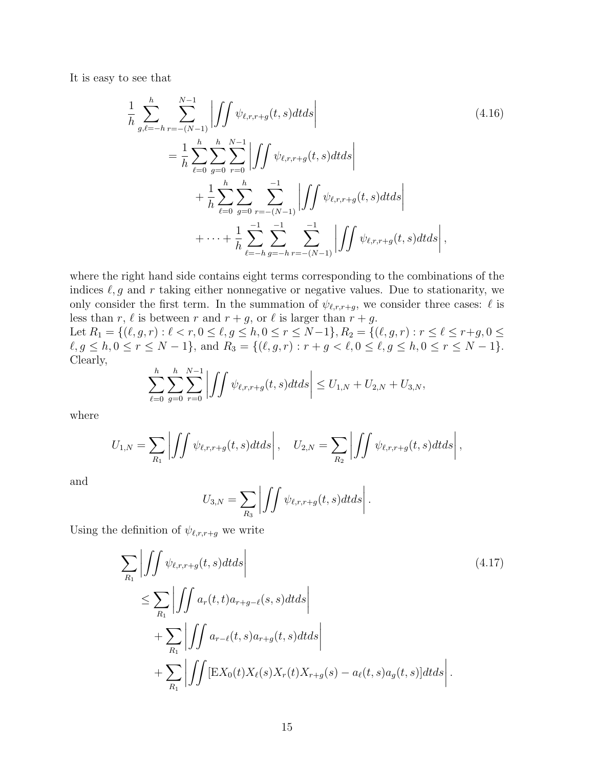It is easy to see that

$$
\frac{1}{h} \sum_{g,\ell=-h}^{h} \sum_{r=-(N-1)}^{N-1} \left| \int \int \psi_{\ell,r,r+g}(t,s)dt ds \right|
$$
\n
$$
= \frac{1}{h} \sum_{\ell=0}^{h} \sum_{g=0}^{N-1} \sum_{r=0}^{N-1} \left| \int \int \psi_{\ell,r,r+g}(t,s)dt ds \right|
$$
\n
$$
+ \frac{1}{h} \sum_{\ell=0}^{h} \sum_{g=0}^{N-1} \sum_{r=-(N-1)}^{N-1} \left| \int \int \psi_{\ell,r,r+g}(t,s)dt ds \right|
$$
\n
$$
+ \cdots + \frac{1}{h} \sum_{\ell=-h}^{N-1} \sum_{g=-h}^{N-1} \sum_{r=-(N-1)}^{N-1} \left| \int \int \psi_{\ell,r,r+g}(t,s)dt ds \right|,
$$
\n(4.16)

where the right hand side contains eight terms corresponding to the combinations of the indices  $\ell, g$  and  $r$  taking either nonnegative or negative values. Due to stationarity, we only consider the first term. In the summation of  $\psi_{\ell,r,r+g}$ , we consider three cases:  $\ell$  is less than *r*,  $\ell$  is between *r* and  $r + g$ , or  $\ell$  is larger than  $r + g$ .

Let  $R_1 = \{ (\ell, g, r) : \ell < r, 0 \leq \ell, g \leq h, 0 \leq r \leq N-1 \}, R_2 = \{ (\ell, g, r) : r \leq \ell \leq r+g, 0 \leq \ell \leq r+1 \}$  $\ell, g \le h, 0 \le r \le N-1\},\$ and  $R_3 = \{(\ell, g, r) : r + g < \ell, 0 \le \ell, g \le h, 0 \le r \le N-1\}.$ Clearly, *h*

$$
\sum_{\ell=0}^h \sum_{g=0}^h \sum_{r=0}^{N-1} \left| \int \int \psi_{\ell,r,r+g}(t,s) dt ds \right| \le U_{1,N} + U_{2,N} + U_{3,N},
$$

where

$$
U_{1,N} = \sum_{R_1} \left| \int \int \psi_{\ell,r,r+g}(t,s) dt ds \right|, \quad U_{2,N} = \sum_{R_2} \left| \int \int \psi_{\ell,r,r+g}(t,s) dt ds \right|,
$$

and

$$
U_{3,N} = \sum_{R_3} \left| \int \int \psi_{\ell,r,r+g}(t,s) dt ds \right|.
$$

Using the definition of  $\psi_{\ell,r,r+g}$  we write

$$
\sum_{R_1} \left| \iint \psi_{\ell,r,r+g}(t,s)dt ds \right|
$$
\n
$$
\leq \sum_{R_1} \left| \iint a_r(t,t) a_{r+g-\ell}(s,s)dt ds \right|
$$
\n
$$
+ \sum_{R_1} \left| \iint a_{r-\ell}(t,s) a_{r+g}(t,s)dt ds \right|
$$
\n
$$
+ \sum_{R_1} \left| \iint \left[ \mathbf{E} X_0(t) X_\ell(s) X_r(t) X_{r+g}(s) - a_\ell(t,s) a_g(t,s) \right] dt ds \right|.
$$
\n(4.17)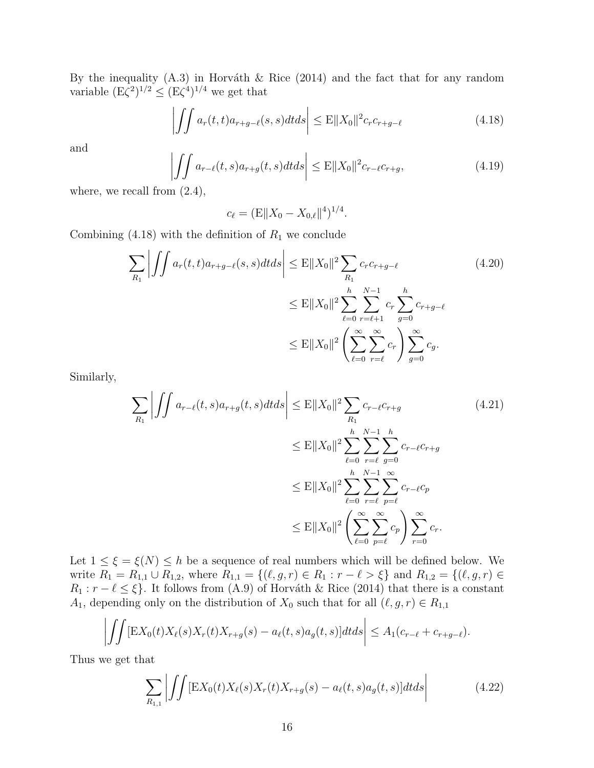By the inequality  $(A.3)$  in Horváth & Rice (2014) and the fact that for any random variable  $(E\zeta^2)^{1/2} \le (E\zeta^4)^{1/4}$  we get that

$$
\left| \iint a_r(t,t)a_{r+g-\ell}(s,s)dtds \right| \le \mathbb{E} ||X_0||^2 c_r c_{r+g-\ell} \tag{4.18}
$$

and

$$
\left| \iint a_{r-\ell}(t,s)a_{r+g}(t,s)dtds \right| \le \mathcal{E}||X_0||^2 c_{r-\ell} c_{r+g},\tag{4.19}
$$

where, we recall from  $(2.4)$ ,

$$
c_{\ell} = (\mathbf{E} || X_0 - X_{0,\ell} ||^4)^{1/4}.
$$

Combining  $(4.18)$  with the definition of  $R_1$  we conclude

$$
\sum_{R_1} \left| \iint a_r(t, t) a_{r+g-\ell}(s, s) dt ds \right| \leq E \|X_0\|^2 \sum_{R_1} c_r c_{r+g-\ell} \tag{4.20}
$$
\n
$$
\leq E \|X_0\|^2 \sum_{\ell=0}^h \sum_{r=\ell+1}^{N-1} c_r \sum_{g=0}^h c_{r+g-\ell} \leq E \|X_0\|^2 \left( \sum_{\ell=0}^\infty \sum_{r=\ell}^\infty c_r \right) \sum_{g=0}^\infty c_g.
$$

Similarly,

$$
\sum_{R_1} \left| \iint a_{r-\ell}(t,s)a_{r+g}(t,s)dtds \right| \leq E \|X_0\|^2 \sum_{R_1} c_{r-\ell} c_{r+g} \tag{4.21}
$$
\n
$$
\leq E \|X_0\|^2 \sum_{\ell=0}^h \sum_{r=\ell}^{N-1} \sum_{g=0}^h c_{r-\ell} c_{r+g}
$$
\n
$$
\leq E \|X_0\|^2 \sum_{\ell=0}^h \sum_{r=\ell}^{N-1} \sum_{p=\ell}^{\infty} c_{r-\ell} c_p \leq E \|X_0\|^2 \left( \sum_{\ell=0}^{\infty} \sum_{p=\ell}^{\infty} c_p \right) \sum_{r=0}^{\infty} c_r.
$$

Let  $1 \leq \xi = \xi(N) \leq h$  be a sequence of real numbers which will be defined below. We write  $R_1 = R_{1,1} \cup R_{1,2}$ , where  $R_{1,1} = \{(\ell, g, r) \in R_1 : r - \ell > \xi\}$  and  $R_{1,2} = \{(\ell, g, r) \in R_1\}$  $R_1: r - \ell \leq \xi$ . It follows from (A.9) of Horváth & Rice (2014) that there is a constant *A*<sub>1</sub>, depending only on the distribution of  $X_0$  such that for all  $(\ell, g, r) \in R_{1,1}$ 

$$
\left| \iint \left[ \mathbf{E} X_0(t) X_\ell(s) X_r(t) X_{r+g}(s) - a_\ell(t,s) a_g(t,s) \right] dt ds \right| \leq A_1 (c_{r-\ell} + c_{r+g-\ell}).
$$

Thus we get that

$$
\sum_{R_{1,1}} \left| \iint \left[ \mathbf{E} X_0(t) X_\ell(s) X_r(t) X_{r+g}(s) - a_\ell(t,s) a_g(t,s) \right] dt ds \right| \tag{4.22}
$$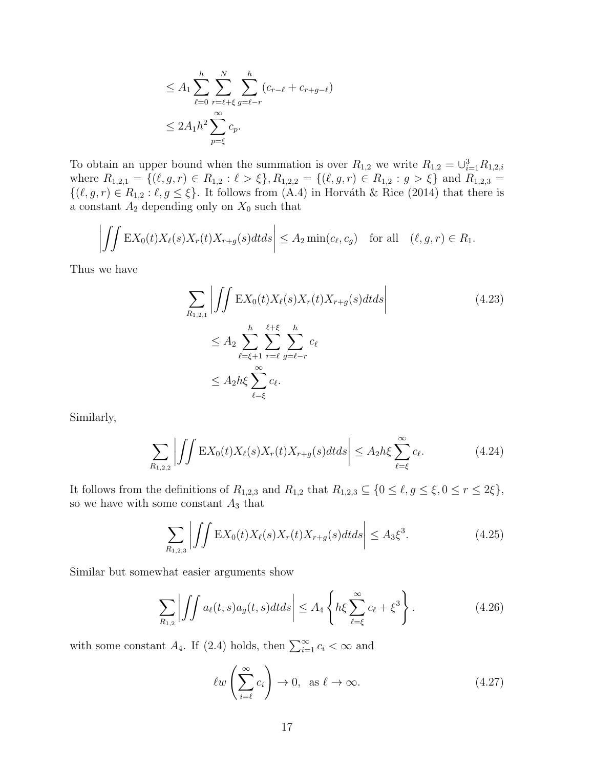$$
\leq A_1 \sum_{\ell=0}^h \sum_{r=\ell+\xi}^N \sum_{g=\ell-r}^h (c_{r-\ell} + c_{r+g-\ell})
$$
  

$$
\leq 2A_1 h^2 \sum_{p=\xi}^\infty c_p.
$$

To obtain an upper bound when the summation is over  $R_{1,2}$  we write  $R_{1,2} = \bigcup_{i=1}^{3} R_{1,2,i}$ where  $R_{1,2,1} = \{(\ell, g, r) \in R_{1,2} : \ell > \xi\}, R_{1,2,2} = \{(\ell, g, r) \in R_{1,2} : g > \xi\}$  and  $R_{1,2,3} =$  $\{(\ell, g, r) \in R_{1,2} : \ell, g \leq \xi\}$ . It follows from (A.4) in Horváth & Rice (2014) that there is a constant  $A_2$  depending only on  $X_0$  such that

$$
\left| \iint \mathbf{E} X_0(t) X_\ell(s) X_r(t) X_{r+g}(s) dt ds \right| \le A_2 \min(c_\ell, c_g) \quad \text{for all} \quad (\ell, g, r) \in R_1.
$$

Thus we have

$$
\sum_{R_{1,2,1}} \left| \iint \mathbf{E} X_0(t) X_{\ell}(s) X_r(t) X_{r+g}(s) dt ds \right|
$$
\n
$$
\leq A_2 \sum_{\ell=\xi+1}^h \sum_{r=\ell}^{\ell+\xi} \sum_{g=\ell-r}^h c_\ell
$$
\n
$$
\leq A_2 h \xi \sum_{\ell=\xi}^\infty c_\ell.
$$
\n(4.23)

Similarly,

$$
\sum_{R_{1,2,2}} \left| \iint \mathbf{E} X_0(t) X_\ell(s) X_r(t) X_{r+g}(s) dt ds \right| \le A_2 h \xi \sum_{\ell=\xi}^{\infty} c_\ell.
$$
 (4.24)

It follows from the definitions of  $R_{1,2,3}$  and  $R_{1,2}$  that  $R_{1,2,3} \subseteq \{0 \leq \ell, g \leq \xi, 0 \leq r \leq 2\xi\},\$ so we have with some constant *A*<sup>3</sup> that

$$
\sum_{R_{1,2,3}} \left| \iint \mathbf{E} X_0(t) X_\ell(s) X_r(t) X_{r+g}(s) dt ds \right| \le A_3 \xi^3. \tag{4.25}
$$

Similar but somewhat easier arguments show

$$
\sum_{R_{1,2}} \left| \iint a_{\ell}(t,s) a_g(t,s) dt ds \right| \le A_4 \left\{ h \xi \sum_{\ell=\xi}^{\infty} c_{\ell} + \xi^3 \right\}.
$$
 (4.26)

with some constant  $A_4$ . If (2.4) holds, then  $\sum_{i=1}^{\infty} c_i < \infty$  and

$$
\ell w \left( \sum_{i=\ell}^{\infty} c_i \right) \to 0, \text{ as } \ell \to \infty.
$$
 (4.27)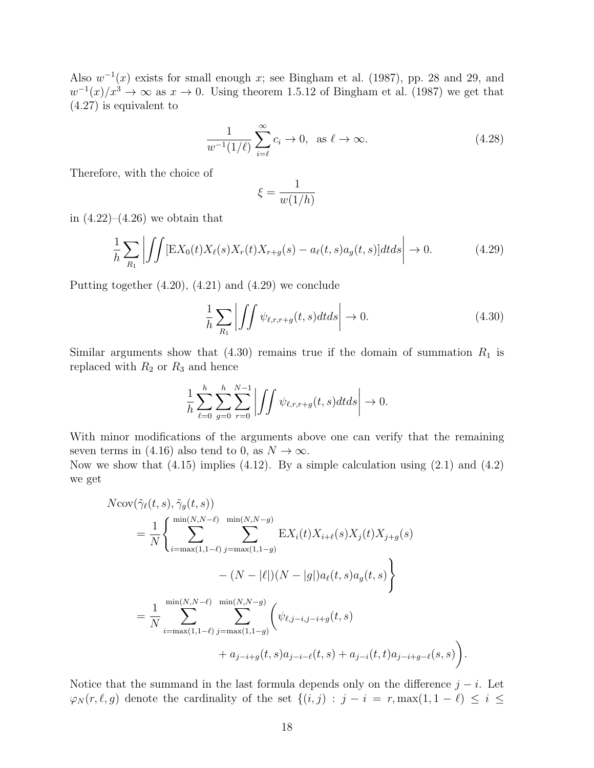Also  $w^{-1}(x)$  exists for small enough x; see Bingham et al. (1987), pp. 28 and 29, and  $w^{-1}(x)/x^3 \to \infty$  as  $x \to 0$ . Using theorem 1.5.12 of Bingham et al. (1987) we get that (4.27) is equivalent to

$$
\frac{1}{w^{-1}(1/\ell)}\sum_{i=\ell}^{\infty}c_i \to 0, \text{ as } \ell \to \infty.
$$
 (4.28)

Therefore, with the choice of

$$
\xi = \frac{1}{w(1/h)}
$$

in  $(4.22)$ – $(4.26)$  we obtain that

$$
\frac{1}{h}\sum_{R_1}\left|\iint \left[\mathbf{E}X_0(t)X_\ell(s)X_r(t)X_{r+g}(s) - a_\ell(t,s)a_g(t,s)\right]dtds\right| \to 0. \tag{4.29}
$$

Putting together (4.20), (4.21) and (4.29) we conclude

$$
\frac{1}{h} \sum_{R_1} \left| \iint \psi_{\ell,r,r+g}(t,s) dt ds \right| \to 0. \tag{4.30}
$$

Similar arguments show that  $(4.30)$  remains true if the domain of summation  $R_1$  is replaced with  $R_2$  or  $R_3$  and hence

$$
\frac{1}{h}\sum_{\ell=0}^h\sum_{g=0}^h\sum_{r=0}^{N-1}\left|\iint\psi_{\ell,r,r+g}(t,s)dtds\right| \to 0.
$$

With minor modifications of the arguments above one can verify that the remaining seven terms in (4.16) also tend to 0, as  $N \to \infty$ .

Now we show that  $(4.15)$  implies  $(4.12)$ . By a simple calculation using  $(2.1)$  and  $(4.2)$ we get

$$
N\text{cov}(\tilde{\gamma}_{\ell}(t,s),\tilde{\gamma}_{g}(t,s))
$$
  
=  $\frac{1}{N} \left\{ \sum_{i=\max(1,1-\ell)}^{\min(N,N-\ell)} \sum_{j=\max(1,1-g)}^{\min(N,N-g)} \text{E}X_{i}(t)X_{i+\ell}(s)X_{j}(t)X_{j+g}(s) - (N-|\ell|)(N-|g|)a_{\ell}(t,s)a_{g}(t,s) \right\}$   
=  $\frac{1}{N} \sum_{i=\max(1,1-\ell)}^{\min(N,N-\ell)} \sum_{j=\max(1,1-g)}^{\min(N,N-g)} \left( \psi_{\ell,j-i,j-i+g}(t,s) + a_{j-i}(t,t)a_{j-i+g-\ell}(s,s) \right).$ 

Notice that the summand in the last formula depends only on the difference  $j - i$ . Let  $\varphi_N(r,\ell,g)$  denote the cardinality of the set  $\{(i,j) : j - i = r, \max(1, 1 - \ell) \le i \le n\}$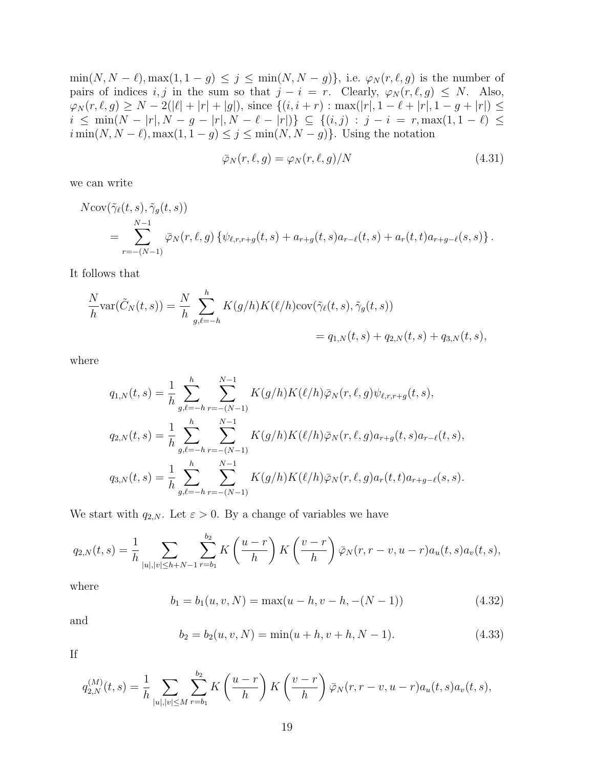min(*N*, *N* −  $\ell$ ), max(1, 1 − *g*)  $\leq$  *j*  $\leq$  min(*N*, *N* − *g*)}, i.e.  $\varphi_N(r, \ell, g)$  is the number of pairs of indices *i, j* in the sum so that  $j - i = r$ . Clearly,  $\varphi_N(r, \ell, g) \leq N$ . Also,  $\varphi_N(r, \ell, g) \geq N - 2(|\ell| + |r| + |g|),$  since  $\{(i, i + r) : \max(|r|, 1 - \ell + |r|, 1 - g + |r|) \leq$  $i \leq \min(N - |r|, N - g - |r|, N - \ell - |r|)$ }  $\subseteq$  {(i,j) :  $j - i = r$ ,  $\max(1, 1 - \ell)$   $\leq$ *i* min(*N*, *N* −  $\ell$ ), max(1, 1 − *g*)  $\leq$  *j*  $\leq$  min(*N*, *N* − *g*)}. Using the notation

$$
\bar{\varphi}_N(r,\ell,g) = \varphi_N(r,\ell,g)/N \tag{4.31}
$$

we can write

$$
N\text{cov}(\tilde{\gamma}_{\ell}(t,s),\tilde{\gamma}_{g}(t,s))
$$
  
= 
$$
\sum_{r=-(N-1)}^{N-1} \bar{\varphi}_{N}(r,\ell,g) \{ \psi_{\ell,r,r+g}(t,s) + a_{r+g}(t,s)a_{r-\ell}(t,s) + a_{r}(t,t)a_{r+g-\ell}(s,s) \}.
$$

It follows that

$$
\frac{N}{h} \text{var}(\tilde{C}_N(t,s)) = \frac{N}{h} \sum_{g,\ell=-h}^h K(g/h) K(\ell/h) \text{cov}(\tilde{\gamma}_{\ell}(t,s), \tilde{\gamma}_g(t,s)) \n= q_{1,N}(t,s) + q_{2,N}(t,s) + q_{3,N}(t,s),
$$

where

$$
q_{1,N}(t,s) = \frac{1}{h} \sum_{g,\ell=-h}^{h} \sum_{r=-(N-1)}^{N-1} K(g/h) K(\ell/h) \bar{\varphi}_N(r,\ell,g) \psi_{\ell,r,r+g}(t,s),
$$
  
\n
$$
q_{2,N}(t,s) = \frac{1}{h} \sum_{g,\ell=-h}^{h} \sum_{r=-(N-1)}^{N-1} K(g/h) K(\ell/h) \bar{\varphi}_N(r,\ell,g) a_{r+g}(t,s) a_{r-\ell}(t,s),
$$
  
\n
$$
q_{3,N}(t,s) = \frac{1}{h} \sum_{g,\ell=-h}^{h} \sum_{r=-(N-1)}^{N-1} K(g/h) K(\ell/h) \bar{\varphi}_N(r,\ell,g) a_r(t,t) a_{r+g-\ell}(s,s).
$$

We start with  $q_{2,N}$ . Let  $\varepsilon > 0$ . By a change of variables we have

$$
q_{2,N}(t,s) = \frac{1}{h} \sum_{|u|,|v| \le h+N-1} \sum_{r=b_1}^{b_2} K\left(\frac{u-r}{h}\right) K\left(\frac{v-r}{h}\right) \bar{\varphi}_N(r,r-v,u-r) a_u(t,s) a_v(t,s),
$$

where

$$
b_1 = b_1(u, v, N) = \max(u - h, v - h, -(N - 1))
$$
\n(4.32)

and

$$
b_2 = b_2(u, v, N) = \min(u + h, v + h, N - 1).
$$
 (4.33)

If

$$
q_{2,N}^{(M)}(t,s) = \frac{1}{h} \sum_{|u|,|v| \le M} \sum_{r=b_1}^{b_2} K\left(\frac{u-r}{h}\right) K\left(\frac{v-r}{h}\right) \bar{\varphi}_N(r,r-v,u-r) a_u(t,s) a_v(t,s),
$$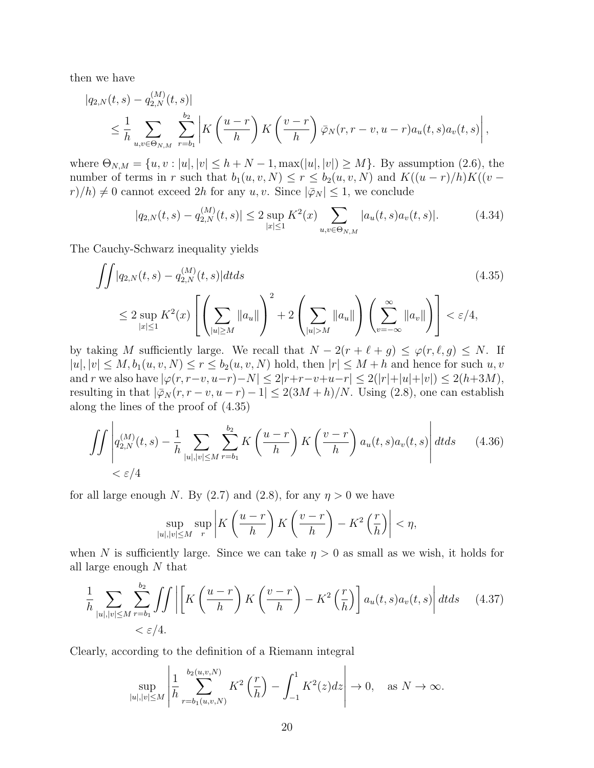then we have

$$
|q_{2,N}(t,s) - q_{2,N}^{(M)}(t,s)|
$$
  
\n
$$
\leq \frac{1}{h} \sum_{u,v \in \Theta_{N,M}} \sum_{r=b_1}^{b_2} \left| K\left(\frac{u-r}{h}\right) K\left(\frac{v-r}{h}\right) \overline{\varphi}_N(r,r-v,u-r) a_u(t,s) a_v(t,s) \right|,
$$

where  $\Theta_{N,M} = \{u, v : |u|, |v| \leq h + N - 1, \max(|u|, |v|) \geq M\}$ . By assumption (2.6), the number of terms in *r* such that  $b_1(u, v, N) \le r \le b_2(u, v, N)$  and  $K((u - r)/h)K((v$  $r$ /*h*)  $\neq$  0 cannot exceed 2*h* for any *u, v*. Since  $|\bar{\varphi}_N| \leq 1$ , we conclude

$$
|q_{2,N}(t,s) - q_{2,N}^{(M)}(t,s)| \le 2 \sup_{|x| \le 1} K^2(x) \sum_{u,v \in \Theta_{N,M}} |a_u(t,s)a_v(t,s)|. \tag{4.34}
$$

The Cauchy-Schwarz inequality yields

$$
\iint |q_{2,N}(t,s) - q_{2,N}^{(M)}(t,s)|dt ds \tag{4.35}
$$
\n
$$
\leq 2 \sup_{|x| \leq 1} K^{2}(x) \left[ \left( \sum_{|u| \geq M} ||a_{u}|| \right)^{2} + 2 \left( \sum_{|u| > M} ||a_{u}|| \right) \left( \sum_{v=-\infty}^{\infty} ||a_{v}|| \right) \right] < \varepsilon/4,
$$

by taking *M* sufficiently large. We recall that  $N - 2(r + \ell + g) \leq \varphi(r, \ell, g) \leq N$ . If  $|u|, |v| \leq M, b_1(u, v, N) \leq r \leq b_2(u, v, N)$  hold, then  $|r| \leq M + h$  and hence for such  $u, v$ and r we also have  $|\varphi(r, r-v, u-r)-N| \leq 2|r+r-v+u-r| \leq 2(|r|+|u|+|v|) \leq 2(h+3M)$ , resulting in that  $|\bar{\varphi}_N(r, r - v, u - r) - 1| \leq 2(3M + h)/N$ . Using (2.8), one can establish along the lines of the proof of (4.35)

$$
\iint \left| q_{2,N}^{(M)}(t,s) - \frac{1}{h} \sum_{|u|,|v| \le M} \sum_{r=b_1}^{b_2} K\left(\frac{u-r}{h}\right) K\left(\frac{v-r}{h}\right) a_u(t,s) a_v(t,s) \right| dt ds \qquad (4.36)
$$
  
 $< \varepsilon / 4$ 

for all large enough *N*. By (2.7) and (2.8), for any  $\eta > 0$  we have

$$
\sup_{|u|,|v| \le M} \sup_{r} \left| K\left(\frac{u-r}{h}\right) K\left(\frac{v-r}{h}\right) - K^2 \left(\frac{r}{h}\right) \right| < \eta,
$$

when *N* is sufficiently large. Since we can take  $\eta > 0$  as small as we wish, it holds for all large enough *N* that

$$
\frac{1}{h} \sum_{|u|, |v| \le M} \sum_{r=b_1}^{b_2} \int \int \left| \left[ K \left( \frac{u-r}{h} \right) K \left( \frac{v-r}{h} \right) - K^2 \left( \frac{r}{h} \right) \right] a_u(t, s) a_v(t, s) \right| dt ds \quad (4.37)
$$
  
<  $\varepsilon / 4.$ 

Clearly, according to the definition of a Riemann integral

$$
\sup_{|u|,|v|\leq M} \left| \frac{1}{h} \sum_{r=b_1(u,v,N)}^{b_2(u,v,N)} K^2\left(\frac{r}{h}\right) - \int_{-1}^1 K^2(z)dz \right| \to 0, \quad \text{as } N \to \infty.
$$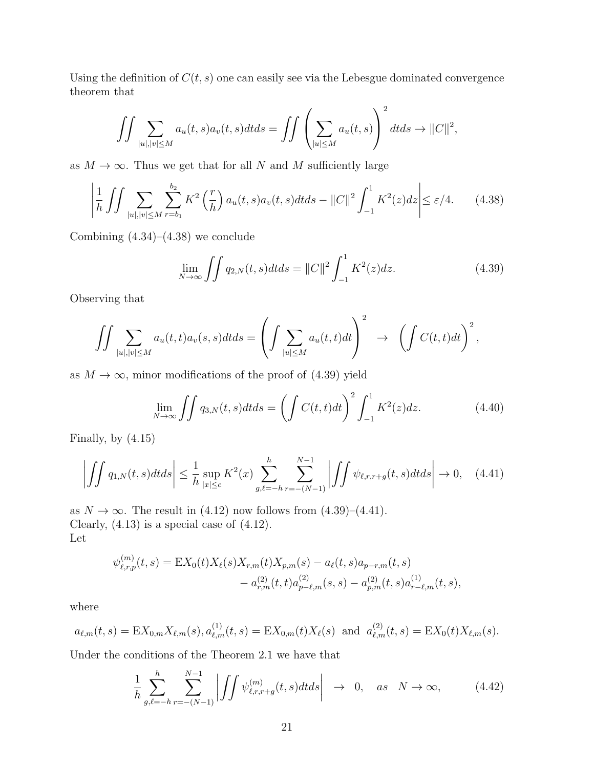Using the definition of  $C(t, s)$  one can easily see via the Lebesgue dominated convergence theorem that

$$
\iint \sum_{|u|,|v| \le M} a_u(t,s) a_v(t,s) dt ds = \iint \left( \sum_{|u| \le M} a_u(t,s) \right)^2 dt ds \to ||C||^2,
$$

as  $M \to \infty$ . Thus we get that for all *N* and *M* sufficiently large

$$
\left| \frac{1}{h} \iint \sum_{|u|, |v| \le M} \sum_{r=b_1}^{b_2} K^2 \left( \frac{r}{h} \right) a_u(t, s) a_v(t, s) dt ds - ||C||^2 \int_{-1}^1 K^2(z) dz \right| \le \varepsilon / 4. \tag{4.38}
$$

Combining  $(4.34)$ – $(4.38)$  we conclude

$$
\lim_{N \to \infty} \iint q_{2,N}(t,s)dtds = ||C||^2 \int_{-1}^1 K^2(z)dz.
$$
 (4.39)

Observing that

$$
\iint \sum_{|u|,|v| \le M} a_u(t,t) a_v(s,s) dt ds = \left( \int \sum_{|u| \le M} a_u(t,t) dt \right)^2 \rightarrow \left( \int C(t,t) dt \right)^2,
$$

as  $M \to \infty$ , minor modifications of the proof of (4.39) yield

$$
\lim_{N \to \infty} \iint q_{3,N}(t,s)dtds = \left( \int C(t,t)dt \right)^2 \int_{-1}^1 K^2(z)dz.
$$
 (4.40)

Finally, by (4.15)

$$
\left| \iint q_{1,N}(t,s)dt ds \right| \leq \frac{1}{h} \sup_{|x| \leq c} K^2(x) \sum_{g,\ell=-h}^{h} \sum_{r=-\left(N-1\right)}^{N-1} \left| \iint \psi_{\ell,r,r+g}(t,s)dt ds \right| \to 0, \quad (4.41)
$$

as  $N \to \infty$ . The result in (4.12) now follows from (4.39)–(4.41). Clearly, (4.13) is a special case of (4.12). Let

$$
\psi_{\ell,r,p}^{(m)}(t,s) = \mathbf{E}X_0(t)X_{\ell}(s)X_{r,m}(t)X_{p,m}(s) - a_{\ell}(t,s)a_{p-r,m}(t,s) - a_{r,m}^{(2)}(t,t)a_{p-\ell,m}^{(2)}(s,s) - a_{p,m}^{(2)}(t,s)a_{r-\ell,m}^{(1)}(t,s),
$$

where

$$
a_{\ell,m}(t,s) = \mathbf{E}X_{0,m}X_{\ell,m}(s), a_{\ell,m}^{(1)}(t,s) = \mathbf{E}X_{0,m}(t)X_{\ell}(s) \text{ and } a_{\ell,m}^{(2)}(t,s) = \mathbf{E}X_{0}(t)X_{\ell,m}(s).
$$

Under the conditions of the Theorem 2.1 we have that

$$
\frac{1}{h} \sum_{g,\ell=-h}^{h} \sum_{r=-(N-1)}^{N-1} \left| \int \int \psi_{\ell,r,r+g}^{(m)}(t,s)dt ds \right| \rightarrow 0, \quad as \quad N \rightarrow \infty,
$$
\n(4.42)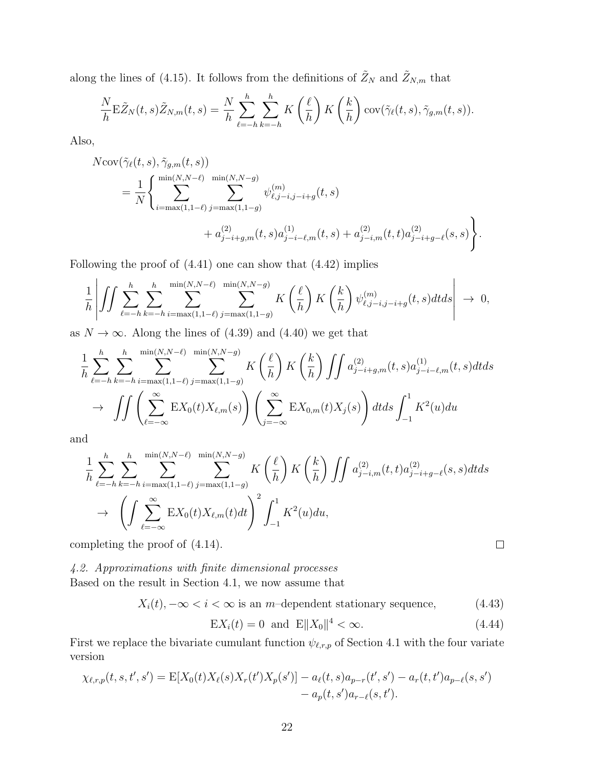along the lines of (4.15). It follows from the definitions of  $\tilde{Z}_N$  and  $\tilde{Z}_{N,m}$  that

$$
\frac{N}{h} \mathbf{E} \tilde{Z}_N(t,s) \tilde{Z}_{N,m}(t,s) = \frac{N}{h} \sum_{\ell=-h}^{h} \sum_{k=-h}^{h} K\left(\frac{\ell}{h}\right) K\left(\frac{k}{h}\right) \operatorname{cov}(\tilde{\gamma}_{\ell}(t,s), \tilde{\gamma}_{g,m}(t,s)).
$$

Also,

$$
N\text{cov}(\tilde{\gamma}_{\ell}(t,s),\tilde{\gamma}_{g,m}(t,s))
$$
  
=  $\frac{1}{N} \Biggl\{ \sum_{i=\max(1,1-\ell)}^{\min(N,N-\ell)} \sum_{j=\max(1,1-g)}^{\min(N,N-g)} \psi_{\ell,j-i,j-i+g}^{(m)}(t,s) + a_{j-i,m}^{(2)}(t,s)a_{j-i-\ell,m}^{(1)}(t,s)a_{j-i+g-\ell}^{(2)}(s,s) \Biggr\}.$ 

Following the proof of (4.41) one can show that (4.42) implies

$$
\frac{1}{h} \left| \iint \sum_{\ell=-h}^{h} \sum_{k=-h}^{\min(N,N-\ell)} \sum_{i=\max(1,1-\ell)}^{\min(N,N-\ell)} K\left(\frac{\ell}{h}\right) K\left(\frac{k}{h}\right) \psi_{\ell,j-i,j-i+g}^{(m)}(t,s) dt ds \right| \to 0,
$$

as  $N \to \infty$ . Along the lines of (4.39) and (4.40) we get that

$$
\frac{1}{h} \sum_{\ell=-h}^{h} \sum_{k=-h}^{\min(N,N-\ell)} \sum_{j=\max(1,1-\ell)}^{\min(N,N-\ell)} K\left(\frac{\ell}{h}\right) K\left(\frac{k}{h}\right) \iint a_{j-i+g,m}^{(2)}(t,s) a_{j-i-\ell,m}^{(1)}(t,s) dt ds \n\to \iint \left( \sum_{\ell=-\infty}^{\infty} \mathbf{E} X_0(t) X_{\ell,m}(s) \right) \left( \sum_{j=-\infty}^{\infty} \mathbf{E} X_{0,m}(t) X_j(s) \right) dt ds \int_{-1}^{1} K^2(u) du
$$

and

$$
\frac{1}{h} \sum_{\ell=-h}^{h} \sum_{k=-h}^{\min(N,N-\ell)} \sum_{j=\max(1,1-\ell)}^{\min(N,N-\ell)} K\left(\frac{\ell}{h}\right) K\left(\frac{k}{h}\right) \iint a_{j-i,m}^{(2)}(t,t) a_{j-i+g-\ell}^{(2)}(s,s) dt ds
$$
\n
$$
\to \left( \int \sum_{\ell=-\infty}^{\infty} \mathbb{E}X_0(t) X_{\ell,m}(t) dt \right)^2 \int_{-1}^{1} K^2(u) du,
$$
\nmpleting the proof of (4.14).

completing the proof of (4.14).

*4.2. Approximations with finite dimensional processes* Based on the result in Section 4.1, we now assume that

$$
X_i(t), -\infty < i < \infty
$$
 is an *m*-dependent stationary sequence, (4.43)

$$
EX_i(t) = 0 \text{ and } E||X_0||^4 < \infty.
$$
 (4.44)

First we replace the bivariate cumulant function  $\psi_{\ell,r,p}$  of Section 4.1 with the four variate version

$$
\chi_{\ell,r,p}(t,s,t',s') = \mathbb{E}[X_0(t)X_{\ell}(s)X_r(t')X_p(s')] - a_{\ell}(t,s)a_{p-r}(t',s') - a_r(t,t')a_{p-\ell}(s,s') - a_p(t,s')a_{r-\ell}(s,t').
$$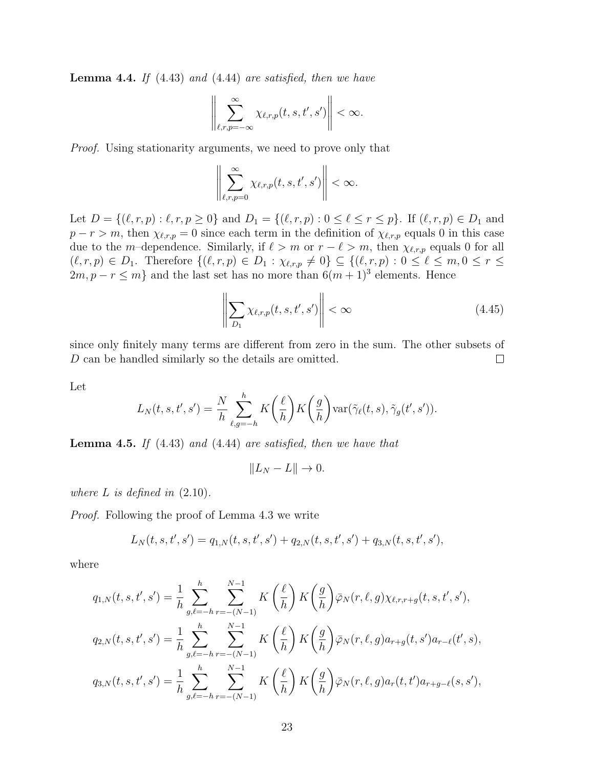**Lemma 4.4.** *If* (4.43) *and* (4.44) *are satisfied, then we have*

$$
\left\|\sum_{\ell,r,p=-\infty}^{\infty}\chi_{\ell,r,p}(t,s,t',s')\right\|<\infty.
$$

*Proof.* Using stationarity arguments, we need to prove only that

$$
\left\|\sum_{\ell,r,p=0}^{\infty}\chi_{\ell,r,p}(t,s,t',s')\right\|<\infty.
$$

Let  $D = \{(\ell, r, p) : \ell, r, p \ge 0\}$  and  $D_1 = \{(\ell, r, p) : 0 \le \ell \le r \le p\}$ . If  $(\ell, r, p) \in D_1$  and  $p - r > m$ , then  $\chi_{\ell,r,p} = 0$  since each term in the definition of  $\chi_{\ell,r,p}$  equals 0 in this case due to the *m*-dependence. Similarly, if  $\ell > m$  or  $r - \ell > m$ , then  $\chi_{\ell,r,p}$  equals 0 for all  $(\ell, r, p) \in D_1$ . Therefore  $\{(\ell, r, p) \in D_1 : \chi_{\ell, r, p} \neq 0\} \subseteq \{(\ell, r, p) : 0 \leq \ell \leq m, 0 \leq r \leq \ell \leq m\}$  $2m, p - r \leq m$ } and the last set has no more than  $6(m + 1)^3$  elements. Hence

$$
\left\| \sum_{D_1} \chi_{\ell,r,p}(t,s,t',s') \right\| < \infty \tag{4.45}
$$

since only finitely many terms are different from zero in the sum. The other subsets of *D* can be handled similarly so the details are omitted.  $\Box$ 

Let

$$
L_N(t, s, t', s') = \frac{N}{h} \sum_{\ell, g = -h}^{h} K\left(\frac{\ell}{h}\right) K\left(\frac{g}{h}\right) \text{var}(\tilde{\gamma}_{\ell}(t, s), \tilde{\gamma}_{g}(t', s')).
$$

**Lemma 4.5.** *If* (4.43) *and* (4.44) *are satisfied, then we have that*

$$
||L_N - L|| \to 0.
$$

*where*  $L$  *is defined in*  $(2.10)$ *.* 

*Proof.* Following the proof of Lemma 4.3 we write

$$
L_N(t,s,t',s') = q_{1,N}(t,s,t',s') + q_{2,N}(t,s,t',s') + q_{3,N}(t,s,t',s'),
$$

where

$$
q_{1,N}(t,s,t',s') = \frac{1}{h} \sum_{g,\ell=-h}^{h} \sum_{r=-(N-1)}^{N-1} K\left(\frac{\ell}{h}\right) K\left(\frac{g}{h}\right) \bar{\varphi}_N(r,\ell,g) \chi_{\ell,r,r+g}(t,s,t',s'),
$$
  

$$
q_{2,N}(t,s,t',s') = \frac{1}{h} \sum_{g,\ell=-h}^{h} \sum_{r=-(N-1)}^{N-1} K\left(\frac{\ell}{h}\right) K\left(\frac{g}{h}\right) \bar{\varphi}_N(r,\ell,g) a_{r+g}(t,s') a_{r-\ell}(t',s),
$$
  

$$
q_{3,N}(t,s,t',s') = \frac{1}{h} \sum_{g,\ell=-h}^{h} \sum_{r=-(N-1)}^{N-1} K\left(\frac{\ell}{h}\right) K\left(\frac{g}{h}\right) \bar{\varphi}_N(r,\ell,g) a_r(t,t') a_{r+g-\ell}(s,s'),
$$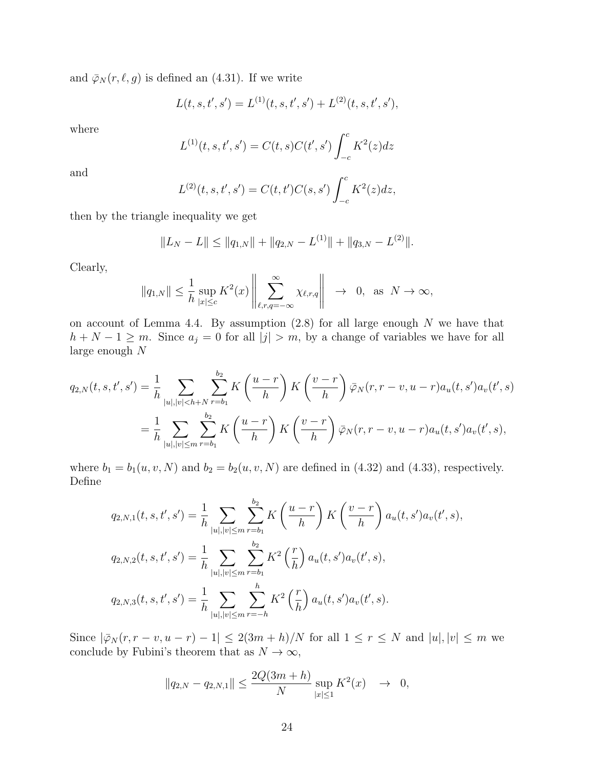and  $\bar{\varphi}_N(r,\ell,g)$  is defined an (4.31). If we write

$$
L(t, s, t', s') = L^{(1)}(t, s, t', s') + L^{(2)}(t, s, t', s'),
$$

where

$$
L^{(1)}(t,s,t',s') = C(t,s)C(t',s') \int_{-c}^{c} K^2(z)dz
$$

and

$$
L^{(2)}(t,s,t',s') = C(t,t')C(s,s')\int_{-c}^{c} K^2(z)dz,
$$

then by the triangle inequality we get

$$
||L_N - L|| \le ||q_{1,N}|| + ||q_{2,N} - L^{(1)}|| + ||q_{3,N} - L^{(2)}||.
$$

Clearly,

$$
||q_{1,N}|| \leq \frac{1}{h} \sup_{|x| \leq c} K^2(x) \left\| \sum_{\ell,r,q=-\infty}^{\infty} \chi_{\ell,r,q} \right\| \to 0, \text{ as } N \to \infty,
$$

on account of Lemma 4.4. By assumption (2.8) for all large enough *N* we have that *h* + *N* − 1 ≥ *m*. Since  $a_j = 0$  for all  $|j| > m$ , by a change of variables we have for all large enough *N*

$$
q_{2,N}(t,s,t',s') = \frac{1}{h} \sum_{|u|,|v| < h+N} \sum_{r=b_1}^{b_2} K\left(\frac{u-r}{h}\right) K\left(\frac{v-r}{h}\right) \bar{\varphi}_N(r,r-v,u-r) a_u(t,s') a_v(t',s)
$$
  
= 
$$
\frac{1}{h} \sum_{|u|,|v| \le m} \sum_{r=b_1}^{b_2} K\left(\frac{u-r}{h}\right) K\left(\frac{v-r}{h}\right) \bar{\varphi}_N(r,r-v,u-r) a_u(t,s') a_v(t',s),
$$

where  $b_1 = b_1(u, v, N)$  and  $b_2 = b_2(u, v, N)$  are defined in (4.32) and (4.33), respectively. Define

$$
q_{2,N,1}(t,s,t',s') = \frac{1}{h} \sum_{|u|,|v| \le m} \sum_{r=b_1}^{b_2} K\left(\frac{u-r}{h}\right) K\left(\frac{v-r}{h}\right) a_u(t,s') a_v(t',s),
$$
  

$$
q_{2,N,2}(t,s,t',s') = \frac{1}{h} \sum_{|u|,|v| \le m} \sum_{r=b_1}^{b_2} K^2\left(\frac{r}{h}\right) a_u(t,s') a_v(t',s),
$$
  

$$
q_{2,N,3}(t,s,t',s') = \frac{1}{h} \sum_{|u|,|v| \le m} \sum_{r=-h}^{h} K^2\left(\frac{r}{h}\right) a_u(t,s') a_v(t',s).
$$

Since  $|\bar{\varphi}_N(r,r-v,u-r)-1| \leq 2(3m+h)/N$  for all  $1 \leq r \leq N$  and  $|u|,|v| \leq m$  we conclude by Fubini's theorem that as  $N \to \infty$ ,

$$
||q_{2,N} - q_{2,N,1}|| \le \frac{2Q(3m+h)}{N} \sup_{|x| \le 1} K^2(x) \to 0,
$$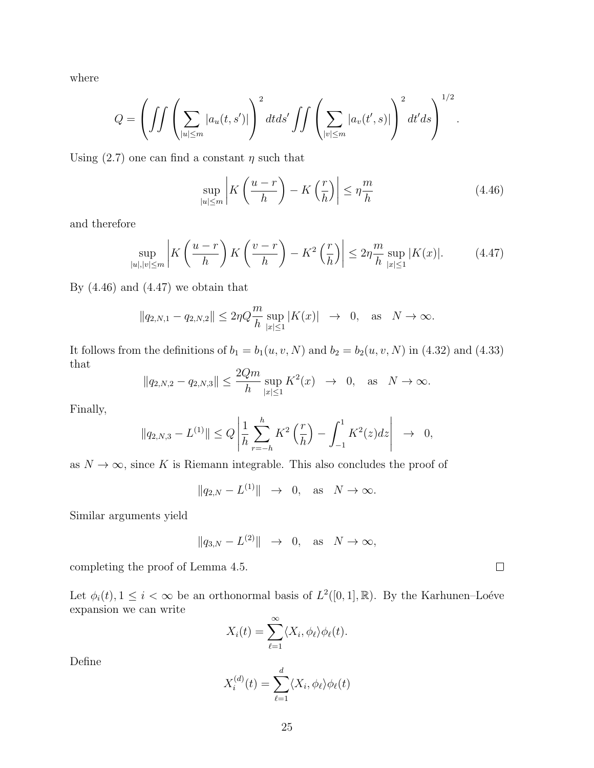where

$$
Q = \left( \int \int \left( \sum_{|u| \leq m} |a_u(t, s')| \right)^2 dt ds' \int \int \left( \sum_{|v| \leq m} |a_v(t', s)| \right)^2 dt' ds \right)^{1/2}.
$$

Using  $(2.7)$  one can find a constant  $\eta$  such that

$$
\sup_{|u| \le m} \left| K\left(\frac{u-r}{h}\right) - K\left(\frac{r}{h}\right) \right| \le \eta \frac{m}{h} \tag{4.46}
$$

and therefore

$$
\sup_{|u|,|v|\le m} \left| K\left(\frac{u-r}{h}\right) K\left(\frac{v-r}{h}\right) - K^2 \left(\frac{r}{h}\right) \right| \le 2\eta \frac{m}{h} \sup_{|x|\le 1} |K(x)|. \tag{4.47}
$$

By  $(4.46)$  and  $(4.47)$  we obtain that

$$
||q_{2,N,1} - q_{2,N,2}|| \le 2\eta Q \frac{m}{h} \sup_{|x| \le 1} |K(x)| \to 0
$$
, as  $N \to \infty$ .

It follows from the definitions of  $b_1 = b_1(u, v, N)$  and  $b_2 = b_2(u, v, N)$  in (4.32) and (4.33) that

$$
||q_{2,N,2} - q_{2,N,3}|| \le \frac{2Qm}{h} \sup_{|x| \le 1} K^2(x) \to 0, \text{ as } N \to \infty.
$$

Finally,

$$
||q_{2,N,3} - L^{(1)}|| \le Q \left| \frac{1}{h} \sum_{r=-h}^{h} K^2 \left( \frac{r}{h} \right) - \int_{-1}^{1} K^2(z) dz \right| \to 0,
$$

as  $N \to \infty$ , since K is Riemann integrable. This also concludes the proof of

*∥q*2*,N − L* (1)*∥ →* 0*,* as *N → ∞.*

Similar arguments yield

$$
||q_{3,N} - L^{(2)}|| \rightarrow 0, \text{ as } N \rightarrow \infty,
$$

completing the proof of Lemma 4.5.

Let  $\phi_i(t)$ ,  $1 \leq i < \infty$  be an orthonormal basis of  $L^2([0,1], \mathbb{R})$ . By the Karhunen–Loéve expansion we can write

$$
X_i(t) = \sum_{\ell=1}^{\infty} \langle X_i, \phi_\ell \rangle \phi_\ell(t).
$$

Define

$$
X_i^{(d)}(t) = \sum_{\ell=1}^d \langle X_i, \phi_\ell \rangle \phi_\ell(t)
$$

 $\Box$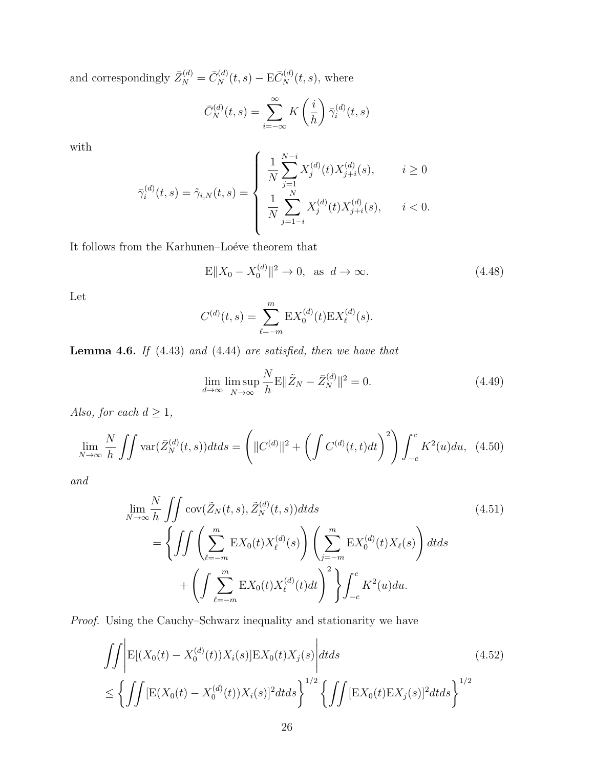and correspondingly  $\bar{Z}_{N}^{(d)} = \bar{C}_{N}^{(d)}(t, s) - \mathbf{E}\bar{C}_{N}^{(d)}(t, s)$ , where

$$
\bar{C}_N^{(d)}(t,s) = \sum_{i=-\infty}^{\infty} K\left(\frac{i}{h}\right) \bar{\gamma}_i^{(d)}(t,s)
$$

with

$$
\bar{\gamma}_i^{(d)}(t,s) = \tilde{\gamma}_{i,N}(t,s) = \begin{cases} \frac{1}{N} \sum_{j=1}^{N-i} X_j^{(d)}(t) X_{j+i}^{(d)}(s), & i \ge 0\\ \frac{1}{N} \sum_{j=1-i}^{N} X_j^{(d)}(t) X_{j+i}^{(d)}(s), & i < 0. \end{cases}
$$

It follows from the Karhunen–Loéve theorem that  $% \mathcal{N}$ 

$$
E||X_0 - X_0^{(d)}||^2 \to 0, \text{ as } d \to \infty.
$$
 (4.48)

Let

$$
C^{(d)}(t,s) = \sum_{\ell=-m}^{m} \mathbf{E} X_0^{(d)}(t) \mathbf{E} X_{\ell}^{(d)}(s).
$$

**Lemma 4.6.** *If* (4.43) *and* (4.44) *are satisfied, then we have that*

$$
\lim_{d \to \infty} \limsup_{N \to \infty} \frac{N}{h} \mathbb{E} \|\tilde{Z}_N - \bar{Z}_N^{(d)}\|^2 = 0. \tag{4.49}
$$

*Also, for each*  $d \geq 1$ *,* 

$$
\lim_{N \to \infty} \frac{N}{h} \iint \text{var}(\bar{Z}_N^{(d)}(t,s)) dt ds = \left( \|C^{(d)}\|^2 + \left( \int C^{(d)}(t,t) dt \right)^2 \right) \int_{-c}^c K^2(u) du, \tag{4.50}
$$

*and*

$$
\lim_{N \to \infty} \frac{N}{h} \iint \operatorname{cov}(\tilde{Z}_N(t,s), \tilde{Z}_N^{(d)}(t,s)) dt ds
$$
\n
$$
= \left\{ \iint \left( \sum_{\ell=-m}^m \operatorname{EX}_0(t) X_\ell^{(d)}(s) \right) \left( \sum_{j=-m}^m \operatorname{EX}_0^{(d)}(t) X_\ell(s) \right) dt ds + \left( \int \sum_{\ell=-m}^m \operatorname{EX}_0(t) X_\ell^{(d)}(t) dt \right)^2 \right\} \int_{-c}^c K^2(u) du.
$$
\n(4.51)

*Proof.* Using the Cauchy–Schwarz inequality and stationarity we have

$$
\iint \left| E[(X_0(t) - X_0^{(d)}(t))X_i(s)]E[X_0(t)X_j(s)]\right| dt ds
$$
\n
$$
\leq \left\{ \iint \left[ E(X_0(t) - X_0^{(d)}(t))X_i(s) \right]^2 dt ds \right\}^{1/2} \left\{ \iint \left[ E(X_0(t)E[X_j(s)]^2 dt ds \right]^{1/2} \right\}^{1/2}
$$
\n(4.52)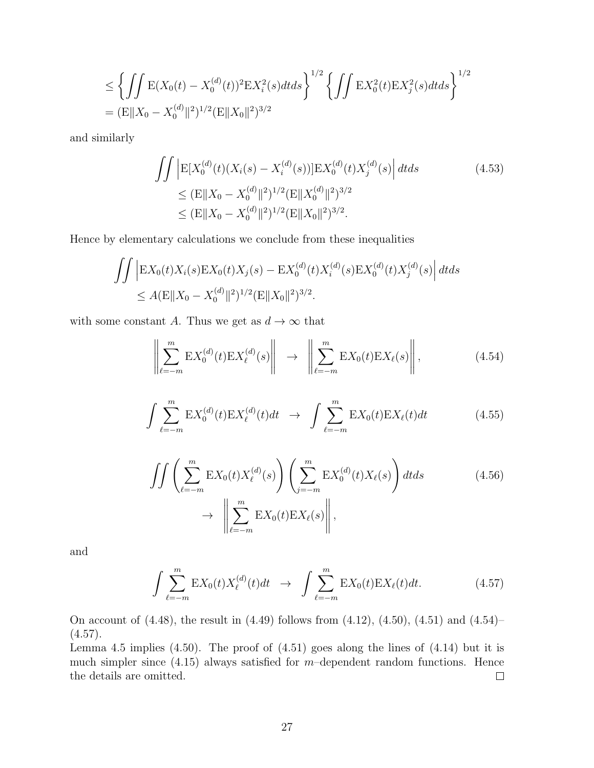$$
\leq \left\{ \iint E(X_0(t) - X_0^{(d)}(t))^2 E X_i^2(s) dt ds \right\}^{1/2} \left\{ \iint E X_0^2(t) E X_j^2(s) dt ds \right\}^{1/2}
$$
  
= 
$$
(E \| X_0 - X_0^{(d)} \|^2)^{1/2} (E \| X_0 \|^2)^{3/2}
$$

and similarly

$$
\iint \left| E[X_0^{(d)}(t)(X_i(s) - X_i^{(d)}(s))] E[X_0^{(d)}(t)X_j^{(d)}(s)] \right| dt ds
$$
\n
$$
\leq (E \|X_0 - X_0^{(d)}\|^2)^{1/2} (E \|X_0^{(d)}\|^2)^{3/2}
$$
\n
$$
\leq (E \|X_0 - X_0^{(d)}\|^2)^{1/2} (E \|X_0\|^2)^{3/2}.
$$
\n(4.53)

Hence by elementary calculations we conclude from these inequalities

$$
\iint \left| \mathbf{E} X_0(t) X_i(s) \mathbf{E} X_0(t) X_j(s) - \mathbf{E} X_0^{(d)}(t) X_i^{(d)}(s) \mathbf{E} X_0^{(d)}(t) X_j^{(d)}(s) \right| dt ds
$$
  
\n
$$
\leq A (\mathbf{E} \| X_0 - X_0^{(d)} \|^2)^{1/2} (\mathbf{E} \| X_0 \|^2)^{3/2}.
$$

with some constant *A*. Thus we get as  $d \to \infty$  that

$$
\left\| \sum_{\ell=-m}^{m} \mathbf{E} X_0^{(d)}(t) \mathbf{E} X_\ell^{(d)}(s) \right\| \rightarrow \left\| \sum_{\ell=-m}^{m} \mathbf{E} X_0(t) \mathbf{E} X_\ell(s) \right\|,
$$
\n(4.54)

$$
\int \sum_{\ell=-m}^{m} \mathbf{E} X_0^{(d)}(t) \mathbf{E} X_\ell^{(d)}(t) dt \rightarrow \int \sum_{\ell=-m}^{m} \mathbf{E} X_0(t) \mathbf{E} X_\ell(t) dt \qquad (4.55)
$$

$$
\iint \left( \sum_{\ell=-m}^{m} \mathbf{E} X_0(t) X_{\ell}^{(d)}(s) \right) \left( \sum_{j=-m}^{m} \mathbf{E} X_0^{(d)}(t) X_{\ell}(s) \right) dt ds \tag{4.56}
$$
\n
$$
\to \left\| \sum_{\ell=-m}^{m} \mathbf{E} X_0(t) \mathbf{E} X_{\ell}(s) \right\|,
$$

and

$$
\int \sum_{\ell=-m}^{m} \mathbf{E} X_0(t) X_{\ell}^{(d)}(t) dt \rightarrow \int \sum_{\ell=-m}^{m} \mathbf{E} X_0(t) \mathbf{E} X_{\ell}(t) dt.
$$
 (4.57)

On account of (4.48), the result in (4.49) follows from (4.12), (4.50), (4.51) and (4.54)–  $(4.57).$ 

Lemma 4.5 implies  $(4.50)$ . The proof of  $(4.51)$  goes along the lines of  $(4.14)$  but it is much simpler since (4.15) always satisfied for *m*–dependent random functions. Hence the details are omitted.  $\Box$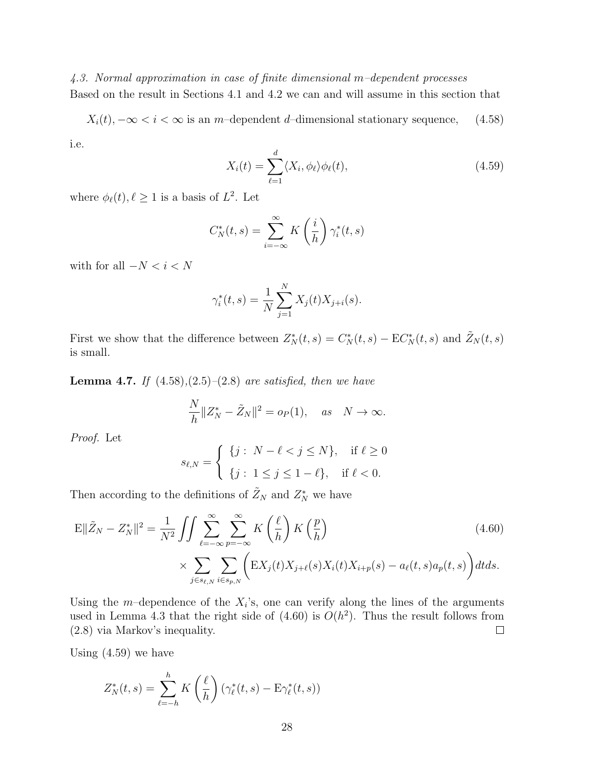*4.3. Normal approximation in case of finite dimensional m–dependent processes* Based on the result in Sections 4.1 and 4.2 we can and will assume in this section that

*X*<sub>*i*</sub>(*t*)*,* −∞ < *i* < ∞ is an *m*–dependent *d*–dimensional stationary sequence, (4.58) i.e.

$$
X_i(t) = \sum_{\ell=1}^d \langle X_i, \phi_\ell \rangle \phi_\ell(t), \qquad (4.59)
$$

where  $\phi_{\ell}(t), \ell \geq 1$  is a basis of  $L^2$ . Let

$$
C_N^*(t,s) = \sum_{i=-\infty}^{\infty} K\left(\frac{i}{h}\right) \gamma_i^*(t,s)
$$

with for all  $-N < i < N$ 

$$
\gamma_i^*(t,s) = \frac{1}{N} \sum_{j=1}^N X_j(t) X_{j+i}(s).
$$

First we show that the difference between  $Z_N^*(t, s) = C_N^*(t, s) - \mathbf{E}C_N^*(t, s)$  and  $\tilde{Z}_N(t, s)$ is small.

**Lemma 4.7.** *If* (4.58)*,*(2.5)*–*(2.8) *are satisfied, then we have*

$$
\frac{N}{h}||Z_N^* - \tilde{Z}_N||^2 = o_P(1), \quad \text{as} \quad N \to \infty.
$$

*Proof.* Let

$$
s_{\ell,N} = \begin{cases} \{j : N - \ell < j \le N\}, & \text{if } \ell \ge 0 \\ \{j : 1 \le j \le 1 - \ell\}, & \text{if } \ell < 0. \end{cases}
$$

Then according to the definitions of  $\tilde{Z}_N$  and  $Z_N^*$  we have

$$
\mathbb{E}\|\tilde{Z}_N - Z_N^*\|^2 = \frac{1}{N^2} \iint \sum_{\ell=-\infty}^{\infty} \sum_{p=-\infty}^{\infty} K\left(\frac{\ell}{h}\right) K\left(\frac{p}{h}\right)
$$
\n
$$
\times \sum_{j \in s_{\ell,N}} \sum_{i \in s_{p,N}} \left( \mathbb{E}X_j(t) X_{j+\ell}(s) X_i(t) X_{i+p}(s) - a_\ell(t,s) a_p(t,s) \right) dt ds.
$$
\n(4.60)

Using the  $m$ -dependence of the  $X_i$ 's, one can verify along the lines of the arguments used in Lemma 4.3 that the right side of  $(4.60)$  is  $O(h^2)$ . Thus the result follows from  $\Box$ (2.8) via Markov's inequality.

Using (4.59) we have

$$
Z_N^*(t,s) = \sum_{\ell=-h}^h K\left(\frac{\ell}{h}\right) \left(\gamma_\ell^*(t,s) - \mathcal{E}\gamma_\ell^*(t,s)\right)
$$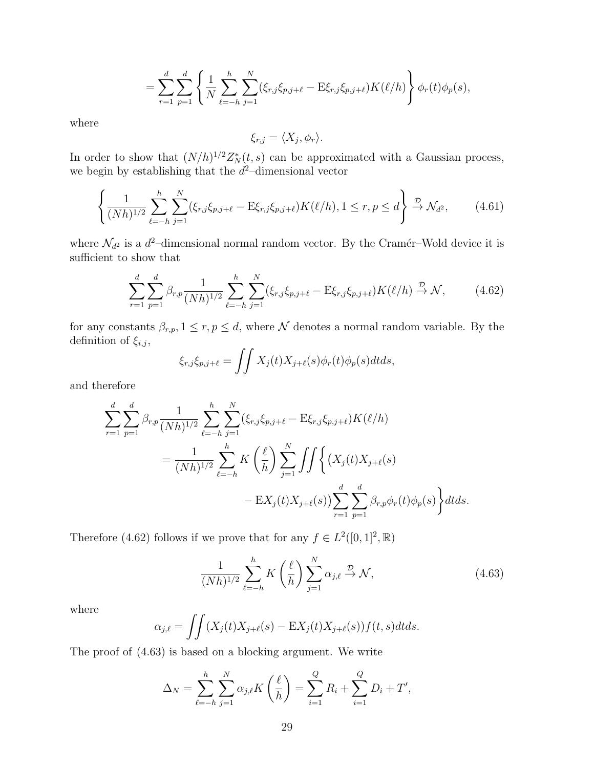$$
= \sum_{r=1}^{d} \sum_{p=1}^{d} \left\{ \frac{1}{N} \sum_{\ell=-h}^{h} \sum_{j=1}^{N} (\xi_{r,j} \xi_{p,j+\ell} - \mathbf{E} \xi_{r,j} \xi_{p,j+\ell}) K(\ell/h) \right\} \phi_r(t) \phi_p(s),
$$

where

$$
\xi_{r,j} = \langle X_j, \phi_r \rangle.
$$

In order to show that  $(N/h)^{1/2}Z_N^*(t,s)$  can be approximated with a Gaussian process, we begin by establishing that the  $d^2$ -dimensional vector

$$
\left\{ \frac{1}{(Nh)^{1/2}} \sum_{\ell=-h}^{h} \sum_{j=1}^{N} (\xi_{r,j} \xi_{p,j+\ell} - \mathbf{E} \xi_{r,j} \xi_{p,j+\ell}) K(\ell/h), 1 \le r, p \le d \right\} \xrightarrow{\mathcal{D}} \mathcal{N}_{d^2},\tag{4.61}
$$

where  $\mathcal{N}_{d^2}$  is a  $d^2$ -dimensional normal random vector. By the Cramér–Wold device it is sufficient to show that

$$
\sum_{r=1}^{d} \sum_{p=1}^{d} \beta_{r,p} \frac{1}{(Nh)^{1/2}} \sum_{\ell=-h}^{h} \sum_{j=1}^{N} (\xi_{r,j} \xi_{p,j+\ell} - \mathbf{E} \xi_{r,j} \xi_{p,j+\ell}) K(\ell/h) \stackrel{\mathcal{D}}{\to} \mathcal{N}, \tag{4.62}
$$

for any constants  $\beta_{r,p}, 1 \leq r, p \leq d$ , where  $\mathcal N$  denotes a normal random variable. By the definition of  $\xi_{i,j}$ ,

$$
\xi_{r,j}\xi_{p,j+\ell} = \iint X_j(t)X_{j+\ell}(s)\phi_r(t)\phi_p(s)dtds,
$$

and therefore

$$
\sum_{r=1}^{d} \sum_{p=1}^{d} \beta_{r,p} \frac{1}{(Nh)^{1/2}} \sum_{\ell=-h}^{h} \sum_{j=1}^{N} (\xi_{r,j} \xi_{p,j+\ell} - \mathbf{E} \xi_{r,j} \xi_{p,j+\ell}) K(\ell/h)
$$
  
= 
$$
\frac{1}{(Nh)^{1/2}} \sum_{\ell=-h}^{h} K\left(\frac{\ell}{h}\right) \sum_{j=1}^{N} \iint \left\{ (X_j(t)X_{j+\ell}(s) - \mathbf{E} X_j(t)X_{j+\ell}(s)) \sum_{r=1}^{d} \sum_{p=1}^{d} \beta_{r,p} \phi_r(t) \phi_p(s) \right\} dt ds.
$$

Therefore (4.62) follows if we prove that for any  $f \in L^2([0,1]^2,\mathbb{R})$ 

$$
\frac{1}{(Nh)^{1/2}} \sum_{\ell=-h}^{h} K\left(\frac{\ell}{h}\right) \sum_{j=1}^{N} \alpha_{j,\ell} \xrightarrow{\mathcal{D}} \mathcal{N},\tag{4.63}
$$

where

$$
\alpha_{j,\ell} = \iint (X_j(t)X_{j+\ell}(s) - \mathbb{E}X_j(t)X_{j+\ell}(s))f(t,s)dtds.
$$

The proof of (4.63) is based on a blocking argument. We write

$$
\Delta_N = \sum_{\ell=-h}^{h} \sum_{j=1}^{N} \alpha_{j,\ell} K\left(\frac{\ell}{h}\right) = \sum_{i=1}^{Q} R_i + \sum_{i=1}^{Q} D_i + T',
$$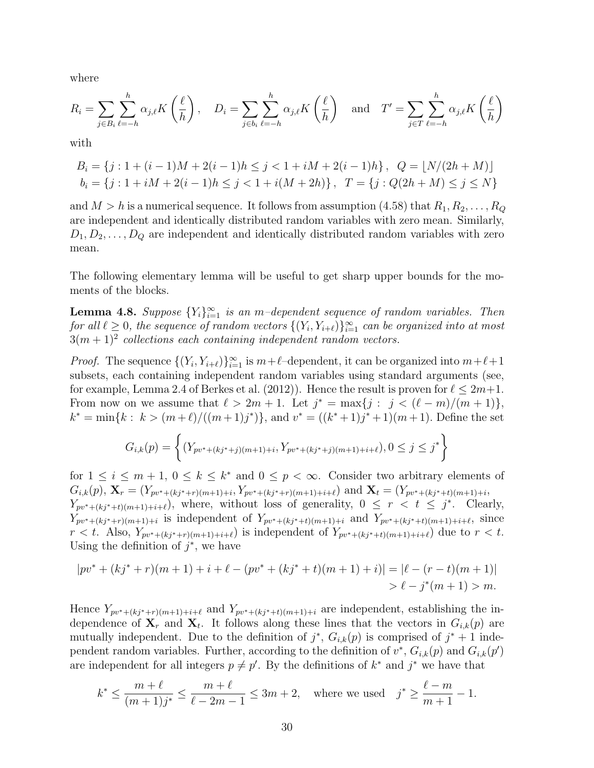where

$$
R_i = \sum_{j \in B_i} \sum_{\ell=-h}^h \alpha_{j,\ell} K\left(\frac{\ell}{h}\right), \quad D_i = \sum_{j \in b_i} \sum_{\ell=-h}^h \alpha_{j,\ell} K\left(\frac{\ell}{h}\right) \quad \text{and} \quad T' = \sum_{j \in T} \sum_{\ell=-h}^h \alpha_{j,\ell} K\left(\frac{\ell}{h}\right)
$$

with

$$
B_i = \{j : 1 + (i-1)M + 2(i-1)h \le j < 1 + iM + 2(i-1)h\}, \quad Q = \lfloor N/(2h + M) \rfloor
$$
  

$$
b_i = \{j : 1 + iM + 2(i-1)h \le j < 1 + i(M + 2h)\}, \quad T = \{j : Q(2h + M) \le j \le N\}
$$

and  $M > h$  is a numerical sequence. It follows from assumption (4.58) that  $R_1, R_2, \ldots, R_Q$ are independent and identically distributed random variables with zero mean. Similarly,  $D_1, D_2, \ldots, D_Q$  are independent and identically distributed random variables with zero mean.

The following elementary lemma will be useful to get sharp upper bounds for the moments of the blocks.

**Lemma 4.8.** *Suppose*  ${Y_i}_{i=1}^{\infty}$  *is an m-dependent sequence of random variables. Then for all*  $\ell \geq 0$ *, the sequence of random vectors*  $\{(Y_i, Y_{i+\ell})\}_{i=1}^{\infty}$  *can be organized into at most*  $3(m+1)^2$  collections each containing independent random vectors.

*Proof.* The sequence  $\{(Y_i, Y_{i+\ell})\}_{i=1}^{\infty}$  is  $m+\ell$ -dependent, it can be organized into  $m+\ell+1$ subsets, each containing independent random variables using standard arguments (see, for example, Lemma 2.4 of Berkes et al. (2012)). Hence the result is proven for  $\ell \leq 2m+1$ . From now on we assume that  $\ell > 2m + 1$ . Let  $j^* = \max\{j : j < (\ell - m)/(m + 1)\},$  $k^* = \min\{k : k > (m+\ell)/((m+1)j^*)\},\$  and  $v^* = ((k^*+1)j^*+1)(m+1)$ . Define the set

$$
G_{i,k}(p) = \left\{ (Y_{pv^*+(kj^*+j)(m+1)+i}, Y_{pv^*+(kj^*+j)(m+1)+i+\ell}), 0 \le j \le j^* \right\}
$$

for  $1 \leq i \leq m+1$ ,  $0 \leq k \leq k^*$  and  $0 \leq p < \infty$ . Consider two arbitrary elements of  $G_{i,k}(p), \mathbf{X}_r = (Y_{pv^*+(kj^*+r)(m+1)+i}, Y_{pv^*+(kj^*+r)(m+1)+i+\ell})$  and  $\mathbf{X}_t = (Y_{pv^*+(kj^*+t)(m+1)+i}, Y_{pv^*+(kj^*+r)(m+1)+i+\ell})$  $Y_{pv^*+(kj^*+t)(m+1)+i+\ell}$ , where, without loss of generality,  $0 \leq r \leq t \leq j^*$ . Clearly,  $Y_{pv^*+(kj^*+r)(m+1)+i}$  is independent of  $Y_{pv^*+(kj^*+t)(m+1)+i}$  and  $Y_{pv^*+(kj^*+t)(m+1)+i+\ell}$ , since  $r < t$ . Also,  $Y_{pv^*+(kj^*+r)(m+1)+i+\ell}$  is independent of  $Y_{pv^*+(kj^*+t)(m+1)+i+\ell}$  due to  $r < t$ . Using the definition of  $j^*$ , we have

$$
|pv^* + (kj^* + r)(m + 1) + i + \ell - (pv^* + (kj^* + t)(m + 1) + i)| = |\ell - (r - t)(m + 1)|
$$
  
>  $\ell - j^*(m + 1) > m.$ 

Hence  $Y_{pv^*+(kj^*+r)(m+1)+i+\ell}$  and  $Y_{pv^*+(kj^*+t)(m+1)+i}$  are independent, establishing the independence of  $\mathbf{X}_r$  and  $\mathbf{X}_t$ . It follows along these lines that the vectors in  $G_{i,k}(p)$  are mutually independent. Due to the definition of  $j^*$ ,  $G_{i,k}(p)$  is comprised of  $j^* + 1$  independent random variables. Further, according to the definition of  $v^*$ ,  $G_{i,k}(p)$  and  $G_{i,k}(p')$ are independent for all integers  $p \neq p'$ . By the definitions of  $k^*$  and  $j^*$  we have that

$$
k^* \le \frac{m+\ell}{(m+1)j^*} \le \frac{m+\ell}{\ell-2m-1} \le 3m+2
$$
, where we used  $j^* \ge \frac{\ell-m}{m+1} - 1$ .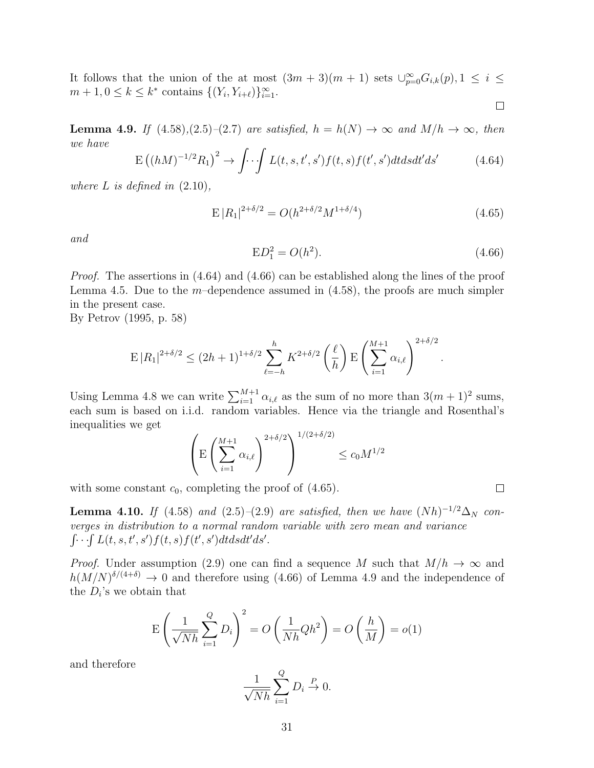It follows that the union of the at most  $(3m + 3)(m + 1)$  sets  $\bigcup_{p=0}^{\infty} G_{i,k}(p), 1 \leq i \leq$  $m + 1, 0 \leq k \leq k^*$  contains  $\{(Y_i, Y_{i+\ell})\}_{i=1}^{\infty}$ .  $\Box$ 

**Lemma 4.9.** *If*  $(4.58)$ *,* $(2.5)$ *–* $(2.7)$  *are satisfied,*  $h = h(N) \rightarrow \infty$  *and*  $M/h \rightarrow \infty$ *, then we have*

$$
E((hM)^{-1/2}R_1)^2 \to \int \cdot \cdot \int L(t,s,t',s')f(t,s)f(t',s')dtdsdt'ds'
$$
 (4.64)

*where*  $L$  *is defined in*  $(2.10)$ *,* 

$$
E |R_1|^{2+\delta/2} = O(h^{2+\delta/2}M^{1+\delta/4})
$$
\n(4.65)

*and*

$$
ED_1^2 = O(h^2). \tag{4.66}
$$

*Proof.* The assertions in  $(4.64)$  and  $(4.66)$  can be established along the lines of the proof Lemma 4.5. Due to the *m*–dependence assumed in (4.58), the proofs are much simpler in the present case.

By Petrov (1995, p. 58)

$$
\mathbb{E}|R_1|^{2+\delta/2} \le (2h+1)^{1+\delta/2} \sum_{\ell=-h}^h K^{2+\delta/2} \left(\frac{\ell}{h}\right) \mathbb{E}\left(\sum_{i=1}^{M+1} \alpha_{i,\ell}\right)^{2+\delta/2}.
$$

Using Lemma 4.8 we can write  $\sum_{i=1}^{M+1} \alpha_{i,\ell}$  as the sum of no more than  $3(m+1)^2$  sums, each sum is based on i.i.d. random variables. Hence via the triangle and Rosenthal's inequalities we get

$$
\left(\mathbb{E}\left(\sum_{i=1}^{M+1}\alpha_{i,\ell}\right)^{2+\delta/2}\right)^{1/(2+\delta/2)} \leq c_0 M^{1/2}
$$

with some constant  $c_0$ , completing the proof of  $(4.65)$ .

**Lemma 4.10.** *If* (4.58) *and* (2.5)–(2.9) *are satisfied, then we have*  $(Nh)^{-1/2}\Delta_N$  *converges in distribution to a normal random variable with zero mean and variance*  $\int \cdots \int L(t, s, t', s') f(t, s) f(t', s') dt ds dt' ds'.$ 

*Proof.* Under assumption (2.9) one can find a sequence *M* such that  $M/h \to \infty$  and  $h(M/N)^{\delta/(4+\delta)} \to 0$  and therefore using (4.66) of Lemma 4.9 and the independence of the  $D_i$ 's we obtain that

$$
E\left(\frac{1}{\sqrt{Nh}}\sum_{i=1}^{Q} D_i\right)^2 = O\left(\frac{1}{Nh}Qh^2\right) = O\left(\frac{h}{M}\right) = o(1)
$$

and therefore

$$
\frac{1}{\sqrt{Nh}}\sum_{i=1}^{Q}D_i \stackrel{P}{\to} 0.
$$

 $\Box$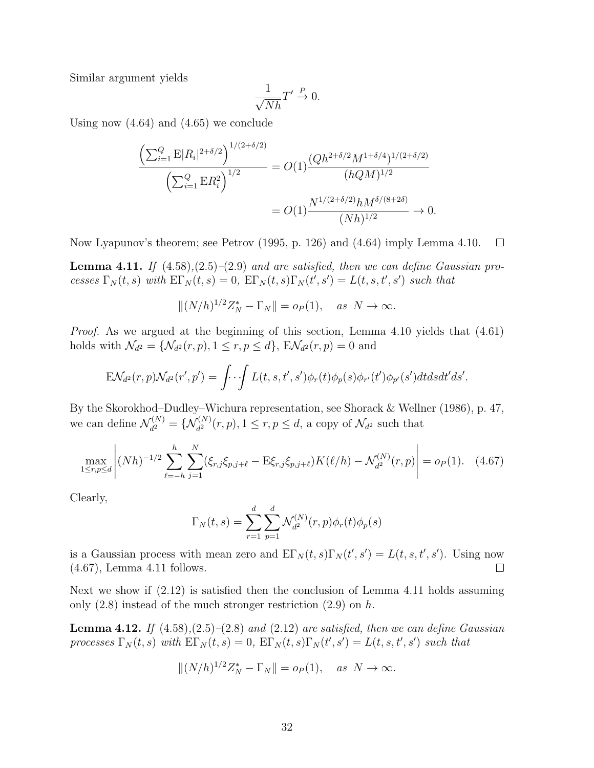Similar argument yields

$$
\frac{1}{\sqrt{Nh}}T' \stackrel{P}{\to} 0.
$$

Using now (4.64) and (4.65) we conclude

$$
\frac{\left(\sum_{i=1}^{Q} \mathcal{E} |R_i|^{2+\delta/2}\right)^{1/(2+\delta/2)}}{\left(\sum_{i=1}^{Q} \mathcal{E} R_i^2\right)^{1/2}} = O(1) \frac{(Qh^{2+\delta/2}M^{1+\delta/4})^{1/(2+\delta/2)}}{(hQM)^{1/2}}
$$

$$
= O(1) \frac{N^{1/(2+\delta/2)}hM^{\delta/(8+2\delta)}}{(Nh)^{1/2}} \to 0.
$$

Now Lyapunov's theorem; see Petrov (1995, p. 126) and (4.64) imply Lemma 4.10.  $\Box$ 

**Lemma 4.11.** *If* (4.58)*,*(2.5)*–*(2.9) *and are satisfied, then we can define Gaussian pro*cesses  $\Gamma_N(t,s)$  with  $E\Gamma_N(t,s) = 0$ ,  $E\Gamma_N(t,s)\Gamma_N(t',s') = L(t,s,t',s')$  such that

$$
||(N/h)^{1/2}Z_N^* - \Gamma_N|| = o_P(1), \quad \text{as } N \to \infty.
$$

*Proof.* As we argued at the beginning of this section, Lemma 4.10 yields that (4.61) holds with  $\mathcal{N}_{d^2} = \{ \mathcal{N}_{d^2}(r, p), 1 \le r, p \le d \}, E\mathcal{N}_{d^2}(r, p) = 0$  and

$$
\mathcal{E}\mathcal{N}_{d^2}(r,p)\mathcal{N}_{d^2}(r',p')=\int\cdots\int L(t,s,t',s')\phi_r(t)\phi_p(s)\phi_{r'}(t')\phi_{p'}(s')dtdsdt'ds'.
$$

By the Skorokhod–Dudley–Wichura representation, see Shorack & Wellner (1986), p. 47, we can define  $\mathcal{N}_{d^2}^{(N)}$  $J_{d^2}^{(N)} = \{ \mathcal{N}_{d^2}^{(N)}(r, p), 1 \le r, p \le d, \text{ a copy of } \mathcal{N}_{d^2} \text{ such that }$ 

$$
\max_{1 \le r,p \le d} \left| (Nh)^{-1/2} \sum_{\ell=-h}^{h} \sum_{j=1}^{N} (\xi_{r,j} \xi_{p,j+\ell} - \mathbb{E} \xi_{r,j} \xi_{p,j+\ell}) K(\ell/h) - \mathcal{N}_{d^2}^{(N)}(r,p) \right| = o_P(1). \quad (4.67)
$$

Clearly,

$$
\Gamma_N(t,s) = \sum_{r=1}^d \sum_{p=1}^d \mathcal{N}_{d^2}^{(N)}(r,p)\phi_r(t)\phi_p(s)
$$

is a Gaussian process with mean zero and  $E\Gamma_N(t,s)\Gamma_N(t',s') = L(t,s,t',s')$ . Using now (4.67), Lemma 4.11 follows.  $\Box$ 

Next we show if (2.12) is satisfied then the conclusion of Lemma 4.11 holds assuming only (2.8) instead of the much stronger restriction (2.9) on *h*.

**Lemma 4.12.** *If* (4.58)*,*(2.5)*–*(2.8) *and* (2.12) *are satisfied, then we can define Gaussian* processes  $\Gamma_N(t,s)$  with  $\text{E}\Gamma_N(t,s) = 0$ ,  $\text{E}\Gamma_N(t,s)\Gamma_N(t',s') = L(t,s,t',s')$  such that

$$
||(N/h)^{1/2}Z_N^* - \Gamma_N|| = o_P(1), \quad \text{as } N \to \infty.
$$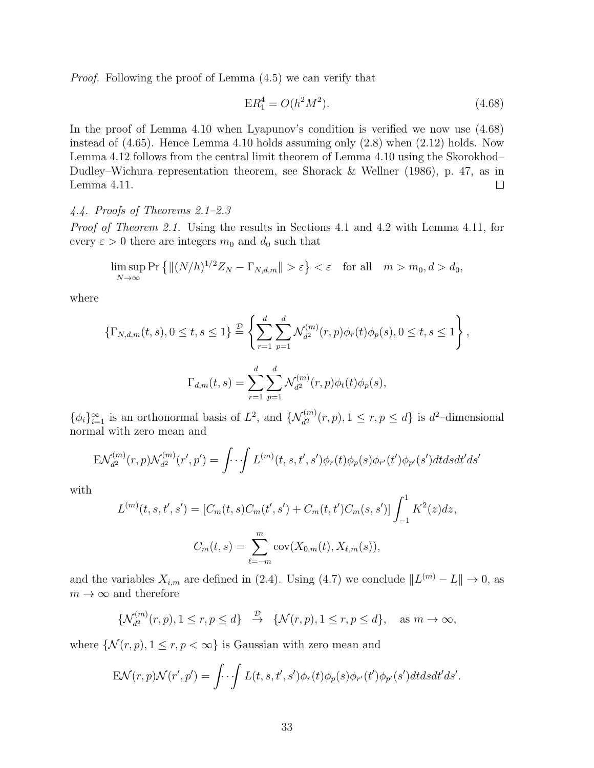*Proof.* Following the proof of Lemma (4.5) we can verify that

$$
ER_1^4 = O(h^2M^2). \tag{4.68}
$$

In the proof of Lemma 4.10 when Lyapunov's condition is verified we now use (4.68) instead of (4.65). Hence Lemma 4.10 holds assuming only (2.8) when (2.12) holds. Now Lemma 4.12 follows from the central limit theorem of Lemma 4.10 using the Skorokhod– Dudley–Wichura representation theorem, see Shorack & Wellner (1986), p. 47, as in Lemma 4.11.  $\Box$ 

# *4.4. Proofs of Theorems 2.1–2.3*

*Proof of Theorem 2.1.* Using the results in Sections 4.1 and 4.2 with Lemma 4.11, for every  $\varepsilon > 0$  there are integers  $m_0$  and  $d_0$  such that

$$
\limsup_{N \to \infty} \Pr \left\{ \|(N/h)^{1/2} Z_N - \Gamma_{N,d,m} \| > \varepsilon \right\} < \varepsilon \quad \text{for all} \quad m > m_0, d > d_0,
$$

where

$$
\{\Gamma_{N,d,m}(t,s), 0 \le t, s \le 1\} \stackrel{\mathcal{D}}{=} \left\{ \sum_{r=1}^d \sum_{p=1}^d \mathcal{N}_{d^2}^{(m)}(r,p)\phi_r(t)\phi_p(s), 0 \le t, s \le 1 \right\},
$$
  

$$
\Gamma_{d,m}(t,s) = \sum_{r=1}^d \sum_{p=1}^d \mathcal{N}_{d^2}^{(m)}(r,p)\phi_t(t)\phi_p(s),
$$

 $\{\phi_i\}_{i=1}^{\infty}$  is an orthonormal basis of  $L^2$ , and  $\{\mathcal{N}_{d^2}^{(m)}(r,p), 1 \le r, p \le d\}$  is  $d^2$ -dimensional normal with zero mean and

$$
E\mathcal{N}_{d^{2}}^{(m)}(r,p)\mathcal{N}_{d^{2}}^{(m)}(r',p') = \int \cdot \cdot \int L^{(m)}(t,s,t',s')\phi_{r}(t)\phi_{p}(s)\phi_{r'}(t')\phi_{p'}(s')dt ds dt' ds'
$$

with

$$
L^{(m)}(t,s,t',s') = [C_m(t,s)C_m(t',s') + C_m(t,t')C_m(s,s')] \int_{-1}^1 K^2(z)dz,
$$
  

$$
C_m(t,s) = \sum_{\ell=-m}^m \text{cov}(X_{0,m}(t), X_{\ell,m}(s)),
$$

and the variables  $X_{i,m}$  are defined in (2.4). Using (4.7) we conclude  $||L^{(m)} - L|| \to 0$ , as  $m \to \infty$  and therefore

$$
\{\mathcal{N}_{d^2}^{(m)}(r,p), 1 \le r, p \le d\} \xrightarrow{\mathcal{D}} \{\mathcal{N}(r,p), 1 \le r, p \le d\}, \quad \text{as } m \to \infty,
$$

where  $\{N(r, p), 1 \le r, p < \infty\}$  is Gaussian with zero mean and

$$
E\mathcal{N}(r,p)\mathcal{N}(r',p') = \int \cdot \cdot \int L(t,s,t',s')\phi_r(t)\phi_p(s)\phi_{r'}(t')\phi_{p'}(s')dtdsdt'ds'.
$$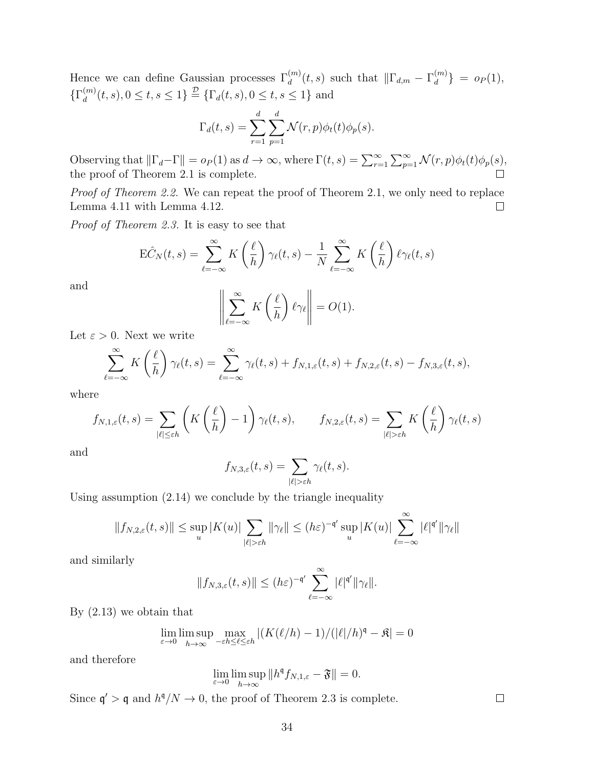Hence we can define Gaussian processes  $\Gamma_d^{(m)}(t,s)$  such that  $\|\Gamma_{d,m} - \Gamma_d^{(m)}\|$  $\{a^{(m)}\} = o_P(1),$  $\{\Gamma_d^{(m)}\}$  $\{d^{(m)}(t,s), 0 \le t, s \le 1\}$   $\stackrel{D}{=}$  { $\Gamma_d(t,s), 0 \le t, s \le 1$ } and

$$
\Gamma_d(t,s) = \sum_{r=1}^d \sum_{p=1}^d \mathcal{N}(r,p)\phi_t(t)\phi_p(s).
$$

Observing that  $\|\Gamma_d - \Gamma\| = o_P(1)$  as  $d \to \infty$ , where  $\Gamma(t, s) = \sum_{r=1}^{\infty} \sum_{p=1}^{\infty} \mathcal{N}(r, p)\phi_t(t)\phi_p(s)$ , the proof of Theorem 2.1 is complete.  $\Box$ 

*Proof of Theorem 2.2.* We can repeat the proof of Theorem 2.1, we only need to replace Lemma 4.11 with Lemma 4.12.  $\Box$ 

*Proof of Theorem 2.3.* It is easy to see that

$$
\mathcal{E}\hat{C}_N(t,s) = \sum_{\ell=-\infty}^{\infty} K\left(\frac{\ell}{h}\right) \gamma_{\ell}(t,s) - \frac{1}{N} \sum_{\ell=-\infty}^{\infty} K\left(\frac{\ell}{h}\right) \ell \gamma_{\ell}(t,s)
$$

and

$$
\left\| \sum_{\ell=-\infty}^{\infty} K\left(\frac{\ell}{h}\right) \ell \gamma_{\ell} \right\| = O(1).
$$

Let  $\varepsilon > 0$ . Next we write

$$
\sum_{\ell=-\infty}^{\infty} K\left(\frac{\ell}{h}\right) \gamma_{\ell}(t,s) = \sum_{\ell=-\infty}^{\infty} \gamma_{\ell}(t,s) + f_{N,1,\varepsilon}(t,s) + f_{N,2,\varepsilon}(t,s) - f_{N,3,\varepsilon}(t,s),
$$

where

$$
f_{N,1,\varepsilon}(t,s) = \sum_{|\ell| \le \varepsilon h} \left( K\left(\frac{\ell}{h}\right) - 1 \right) \gamma_{\ell}(t,s), \qquad f_{N,2,\varepsilon}(t,s) = \sum_{|\ell| > \varepsilon h} K\left(\frac{\ell}{h}\right) \gamma_{\ell}(t,s)
$$

and

$$
f_{N,3,\varepsilon}(t,s)=\sum_{|\ell|>\varepsilon h}\gamma_\ell(t,s).
$$

Using assumption (2.14) we conclude by the triangle inequality

$$
||f_{N,2,\varepsilon}(t,s)|| \leq \sup_{u} |K(u)| \sum_{|\ell| > \varepsilon h} ||\gamma_{\ell}|| \leq (h\varepsilon)^{-\mathfrak{q}'} \sup_{u} |K(u)| \sum_{\ell=-\infty}^{\infty} |\ell|^{\mathfrak{q}'} ||\gamma_{\ell}||
$$

and similarly

$$
||f_{N,3,\varepsilon}(t,s)|| \leq (h\varepsilon)^{-\mathfrak{q}'}\sum_{\ell=-\infty}^{\infty}|\ell|^{\mathfrak{q}'}||\gamma_{\ell}||.
$$

By (2.13) we obtain that

$$
\lim_{\varepsilon \to 0} \limsup_{h \to \infty} \max_{-\varepsilon h \le \ell \le \varepsilon h} |(K(\ell/h) - 1)/(|\ell|/h)^{\mathfrak{q}} - \mathfrak{K}| = 0
$$

and therefore

$$
\lim_{\varepsilon \to 0} \limsup_{h \to \infty} ||h^{\mathfrak{q}} f_{N,1,\varepsilon} - \mathfrak{F}|| = 0.
$$

Since  $\mathfrak{q}' > \mathfrak{q}$  and  $h^{\mathfrak{q}}/N \to 0$ , the proof of Theorem 2.3 is complete.

 $\Box$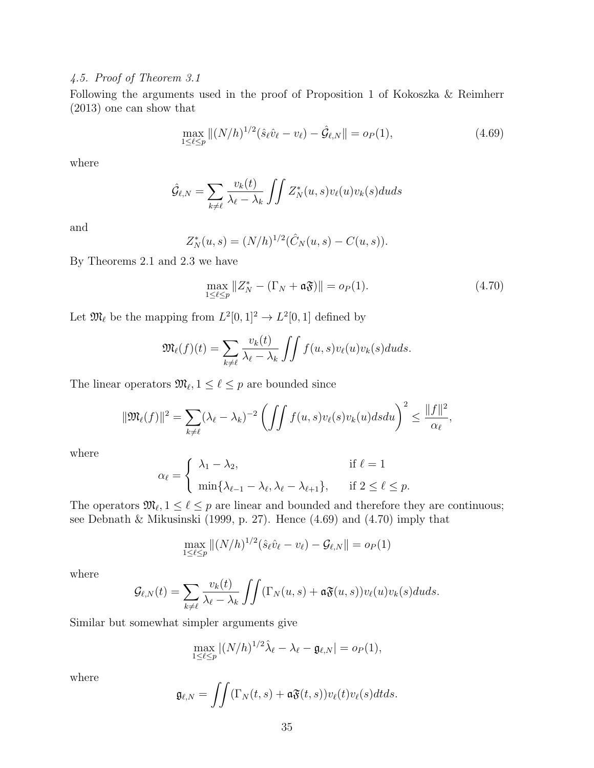#### *4.5. Proof of Theorem 3.1*

Following the arguments used in the proof of Proposition 1 of Kokoszka & Reimherr (2013) one can show that

$$
\max_{1 \le \ell \le p} \|(N/h)^{1/2}(\hat{s}_{\ell}\hat{v}_{\ell} - v_{\ell}) - \hat{\mathcal{G}}_{\ell,N}\| = o_P(1),\tag{4.69}
$$

where

$$
\hat{\mathcal{G}}_{\ell,N} = \sum_{k \neq \ell} \frac{v_k(t)}{\lambda_{\ell} - \lambda_k} \iint Z_N^*(u,s)v_{\ell}(u)v_k(s)duds
$$

and

$$
Z_N^*(u, s) = (N/h)^{1/2}(\hat{C}_N(u, s) - C(u, s)).
$$

By Theorems 2.1 and 2.3 we have

$$
\max_{1 \le \ell \le p} \|Z_N^* - (\Gamma_N + \mathfrak{a} \mathfrak{F})\| = o_P(1). \tag{4.70}
$$

Let  $\mathfrak{M}_{\ell}$  be the mapping from  $L^2[0,1]^2 \to L^2[0,1]$  defined by

$$
\mathfrak{M}_{\ell}(f)(t) = \sum_{k \neq \ell} \frac{v_k(t)}{\lambda_{\ell} - \lambda_k} \int \int f(u,s)v_{\ell}(u)v_k(s)duds.
$$

The linear operators  $\mathfrak{M}_{\ell}, 1 \leq \ell \leq p$  are bounded since

$$
\|\mathfrak{M}_{\ell}(f)\|^2 = \sum_{k \neq \ell} (\lambda_{\ell} - \lambda_k)^{-2} \left( \int \int f(u,s)v_{\ell}(s)v_k(u)dsdu \right)^2 \leq \frac{\|f\|^2}{\alpha_{\ell}},
$$

where

$$
\alpha_{\ell} = \begin{cases} \lambda_1 - \lambda_2, & \text{if } \ell = 1 \\ \min\{\lambda_{\ell-1} - \lambda_{\ell}, \lambda_{\ell} - \lambda_{\ell+1}\}, & \text{if } 2 \le \ell \le p. \end{cases}
$$

The operators  $\mathfrak{M}_{\ell}, 1 \leq \ell \leq p$  are linear and bounded and therefore they are continuous; see Debnath & Mikusinski (1999, p. 27). Hence (4.69) and (4.70) imply that

$$
\max_{1 \leq \ell \leq p} \|(N/h)^{1/2}(\hat{s}_{\ell}\hat{v}_{\ell} - v_{\ell}) - \mathcal{G}_{\ell,N}\| = o_P(1)
$$

where

$$
\mathcal{G}_{\ell,N}(t) = \sum_{k \neq \ell} \frac{v_k(t)}{\lambda_\ell - \lambda_k} \int \int \left( \Gamma_N(u,s) + \mathfrak{a} \mathfrak{F}(u,s) \right) v_\ell(u) v_k(s) du ds.
$$

Similar but somewhat simpler arguments give

$$
\max_{1 \leq \ell \leq p} |(N/h)^{1/2}\hat{\lambda}_{\ell} - \lambda_{\ell} - \mathfrak{g}_{\ell,N}| = o_P(1),
$$

where

$$
\mathfrak{g}_{\ell,N} = \iint (\Gamma_N(t,s) + \mathfrak{a} \mathfrak{F}(t,s)) v_{\ell}(t) v_{\ell}(s) dt ds.
$$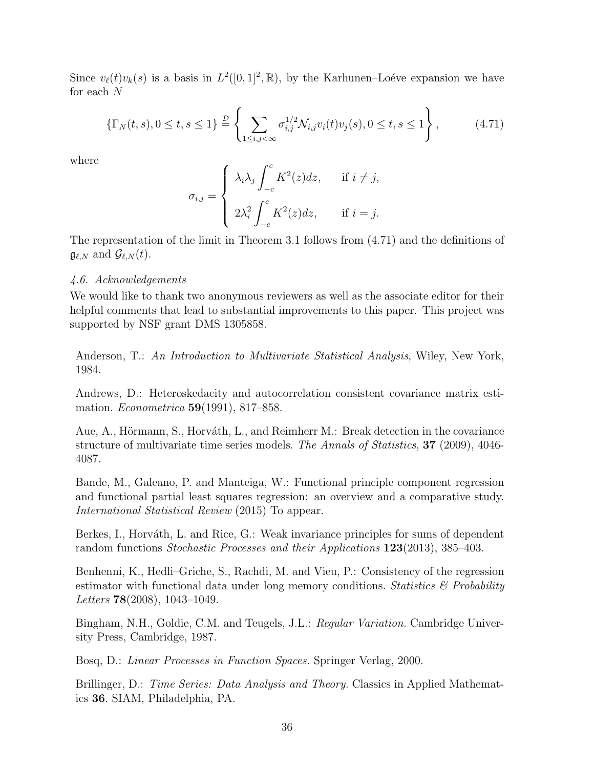Since  $v_{\ell}(t)v_{k}(s)$  is a basis in  $L^{2}([0,1]^{2},\mathbb{R})$ , by the Karhunen–Loéve expansion we have for each *N*

$$
\{\Gamma_N(t,s), 0 \le t, s \le 1\} \stackrel{\mathcal{D}}{=} \left\{ \sum_{1 \le i,j < \infty} \sigma_{i,j}^{1/2} \mathcal{N}_{i,j} v_i(t) v_j(s), 0 \le t, s \le 1 \right\},\tag{4.71}
$$

where

$$
\sigma_{i,j} = \begin{cases} \lambda_i \lambda_j \int_{-c}^{c} K^2(z) dz, & \text{if } i \neq j, \\ 2\lambda_i^2 \int_{-c}^{c} K^2(z) dz, & \text{if } i = j. \end{cases}
$$

The representation of the limit in Theorem 3.1 follows from (4.71) and the definitions of  $\mathfrak{g}_{\ell,N}$  and  $\mathcal{G}_{\ell,N}(t)$ .

#### *4.6. Acknowledgements*

We would like to thank two anonymous reviewers as well as the associate editor for their helpful comments that lead to substantial improvements to this paper. This project was supported by NSF grant DMS 1305858.

Anderson, T.: *An Introduction to Multivariate Statistical Analysis*, Wiley, New York, 1984.

Andrews, D.: Heteroskedacity and autocorrelation consistent covariance matrix estimation. *Econometrica* **59**(1991), 817–858.

Aue, A., Hörmann, S., Horváth, L., and Reimherr M.: Break detection in the covariance structure of multivariate time series models. *The Annals of Statistics*, **37** (2009), 4046- 4087.

Bande, M., Galeano, P. and Manteiga, W.: Functional principle component regression and functional partial least squares regression: an overview and a comparative study. *International Statistical Review* (2015) To appear.

Berkes, I., Horváth, L. and Rice, G.: Weak invariance principles for sums of dependent random functions *Stochastic Processes and their Applications* **123**(2013), 385–403.

Benhenni, K., Hedli–Griche, S., Rachdi, M. and Vieu, P.: Consistency of the regression estimator with functional data under long memory conditions. *Statistics & Probability Letters* **78**(2008), 1043–1049.

Bingham, N.H., Goldie, C.M. and Teugels, J.L.: *Regular Variation.* Cambridge University Press, Cambridge, 1987.

Bosq, D.: *Linear Processes in Function Spaces.* Springer Verlag, 2000.

Brillinger, D.: *Time Series: Data Analysis and Theory.* Classics in Applied Mathematics **36**. SIAM, Philadelphia, PA.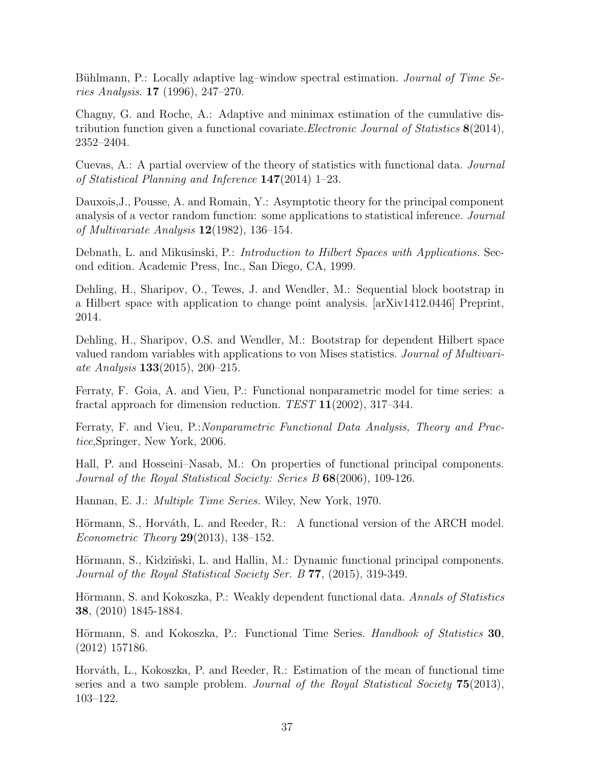Bühlmann, P.: Locally adaptive lag-window spectral estimation. *Journal of Time Series Analysis*. **17** (1996), 247–270.

Chagny, G. and Roche, A.: Adaptive and minimax estimation of the cumulative distribution function given a functional covariate.*Electronic Journal of Statistics* **8**(2014), 2352–2404.

Cuevas, A.: A partial overview of the theory of statistics with functional data. *Journal of Statistical Planning and Inference* **147**(2014) 1–23.

Dauxois,J., Pousse, A. and Romain, Y.: Asymptotic theory for the principal component analysis of a vector random function: some applications to statistical inference. *Journal of Multivariate Analysis* **12**(1982), 136–154.

Debnath, L. and Mikusinski, P.: *Introduction to Hilbert Spaces with Applications.* Second edition. Academic Press, Inc., San Diego, CA, 1999.

Dehling, H., Sharipov, O., Tewes, J. and Wendler, M.: Sequential block bootstrap in a Hilbert space with application to change point analysis. [arXiv1412.0446] Preprint, 2014.

Dehling, H., Sharipov, O.S. and Wendler, M.: Bootstrap for dependent Hilbert space valued random variables with applications to von Mises statistics. *Journal of Multivariate Analysis* **133**(2015), 200–215.

Ferraty, F. Goia, A. and Vieu, P.: Functional nonparametric model for time series: a fractal approach for dimension reduction. *TEST* **11**(2002), 317–344.

Ferraty, F. and Vieu, P.:*Nonparametric Functional Data Analysis, Theory and Practice*,Springer, New York, 2006.

Hall, P. and Hosseini–Nasab, M.: On properties of functional principal components. *Journal of the Royal Statistical Society: Series B* **68**(2006), 109-126.

Hannan, E. J.: *Multiple Time Series.* Wiley, New York, 1970.

Hörmann, S., Horváth, L. and Reeder, R.: A functional version of the ARCH model. *Econometric Theory* **29**(2013), 138–152.

Hörmann, S., Kidziński, L. and Hallin, M.: Dynamic functional principal components. *Journal of the Royal Statistical Society Ser. B* **77**, (2015), 319-349.

Hörmann, S. and Kokoszka, P.: Weakly dependent functional data. *Annals of Statistics* **38**, (2010) 1845-1884.

Hörmann, S. and Kokoszka, P.: Functional Time Series. *Handbook of Statistics* 30, (2012) 157186.

Horváth, L., Kokoszka, P. and Reeder, R.: Estimation of the mean of functional time series and a two sample problem. *Journal of the Royal Statistical Society* **75**(2013), 103–122.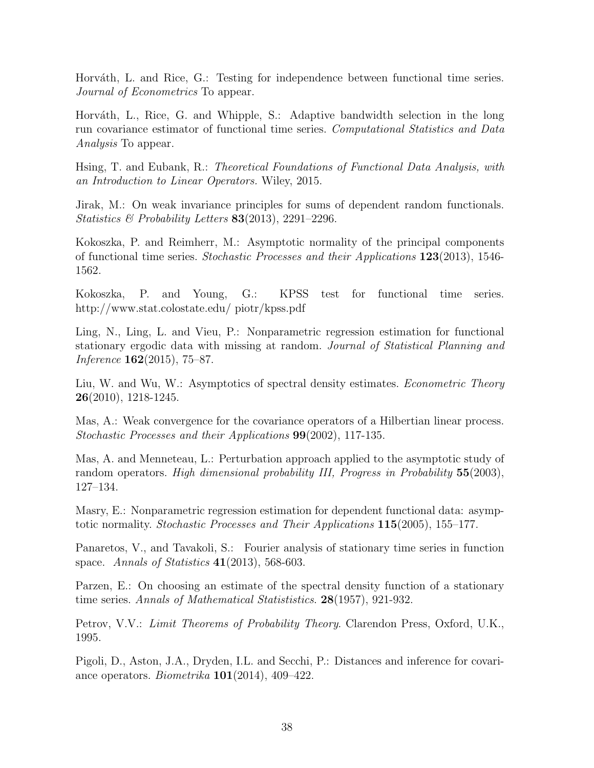Horváth, L. and Rice, G.: Testing for independence between functional time series. *Journal of Econometrics* To appear.

Horváth, L., Rice, G. and Whipple, S.: Adaptive bandwidth selection in the long run covariance estimator of functional time series. *Computational Statistics and Data Analysis* To appear.

Hsing, T. and Eubank, R.: *Theoretical Foundations of Functional Data Analysis, with an Introduction to Linear Operators.* Wiley, 2015.

Jirak, M.: On weak invariance principles for sums of dependent random functionals. *Statistics & Probability Letters* **83**(2013), 2291–2296.

Kokoszka, P. and Reimherr, M.: Asymptotic normality of the principal components of functional time series. *Stochastic Processes and their Applications* **123**(2013), 1546- 1562.

Kokoszka, P. and Young, G.: KPSS test for functional time series. http://www.stat.colostate.edu/ piotr/kpss.pdf

Ling, N., Ling, L. and Vieu, P.: Nonparametric regression estimation for functional stationary ergodic data with missing at random. *Journal of Statistical Planning and Inference* **162**(2015), 75–87.

Liu, W. and Wu, W.: Asymptotics of spectral density estimates. *Econometric Theory* **26**(2010), 1218-1245.

Mas, A.: Weak convergence for the covariance operators of a Hilbertian linear process. *Stochastic Processes and their Applications* **99**(2002), 117-135.

Mas, A. and Menneteau, L.: Perturbation approach applied to the asymptotic study of random operators. *High dimensional probability III, Progress in Probability* **55**(2003), 127–134.

Masry, E.: Nonparametric regression estimation for dependent functional data: asymptotic normality. *Stochastic Processes and Their Applications* **115**(2005), 155–177.

Panaretos, V., and Tavakoli, S.: Fourier analysis of stationary time series in function space. *Annals of Statistics* **41**(2013), 568-603.

Parzen, E.: On choosing an estimate of the spectral density function of a stationary time series. *Annals of Mathematical Statististics*. **28**(1957), 921-932.

Petrov, V.V.: *Limit Theorems of Probability Theory*. Clarendon Press, Oxford, U.K., 1995.

Pigoli, D., Aston, J.A., Dryden, I.L. and Secchi, P.: Distances and inference for covariance operators. *Biometrika* **101**(2014), 409–422.